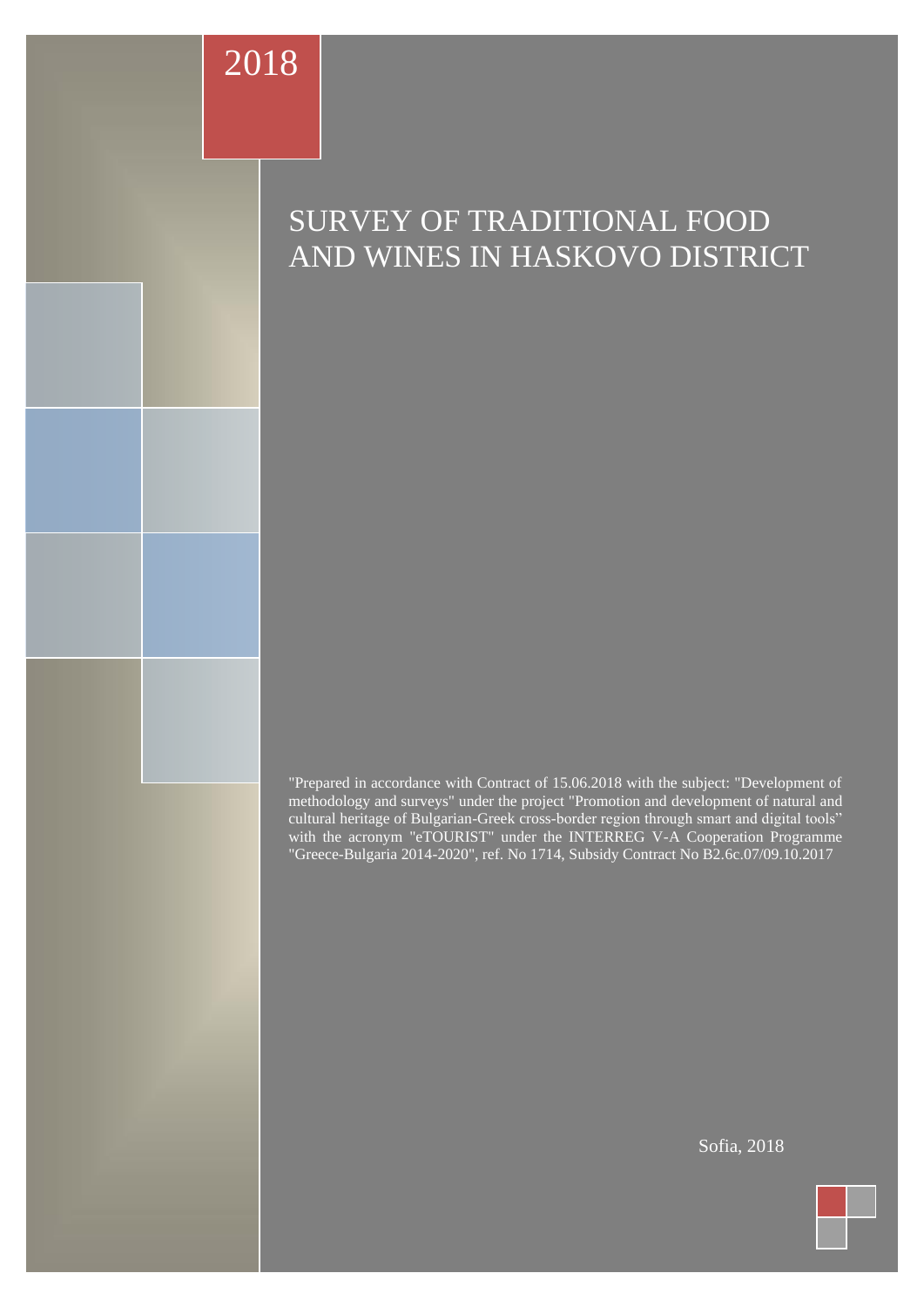# 2018

# SURVEY OF TRADITIONAL FOOD AND WINES IN HASKOVO DISTRICT

"Prepared in accordance with Contract of 15.06.2018 with the subject: "Development of methodology and surveys" under the project "Promotion and development of natural and cultural heritage of Bulgarian-Greek cross-border region through smart and digital tools" with the acronym "eTOURIST" under the INTERREG V-A Cooperation Programme "Greece-Bulgaria 2014-2020", ref. No 1714, Subsidy Contract No B2.6c.07/09.10.2017

This document has been created within the framework of the project "Promotion and development of natural and cultural heritage of the Bulgarian-Greek cross-border region through Sofia, 2018

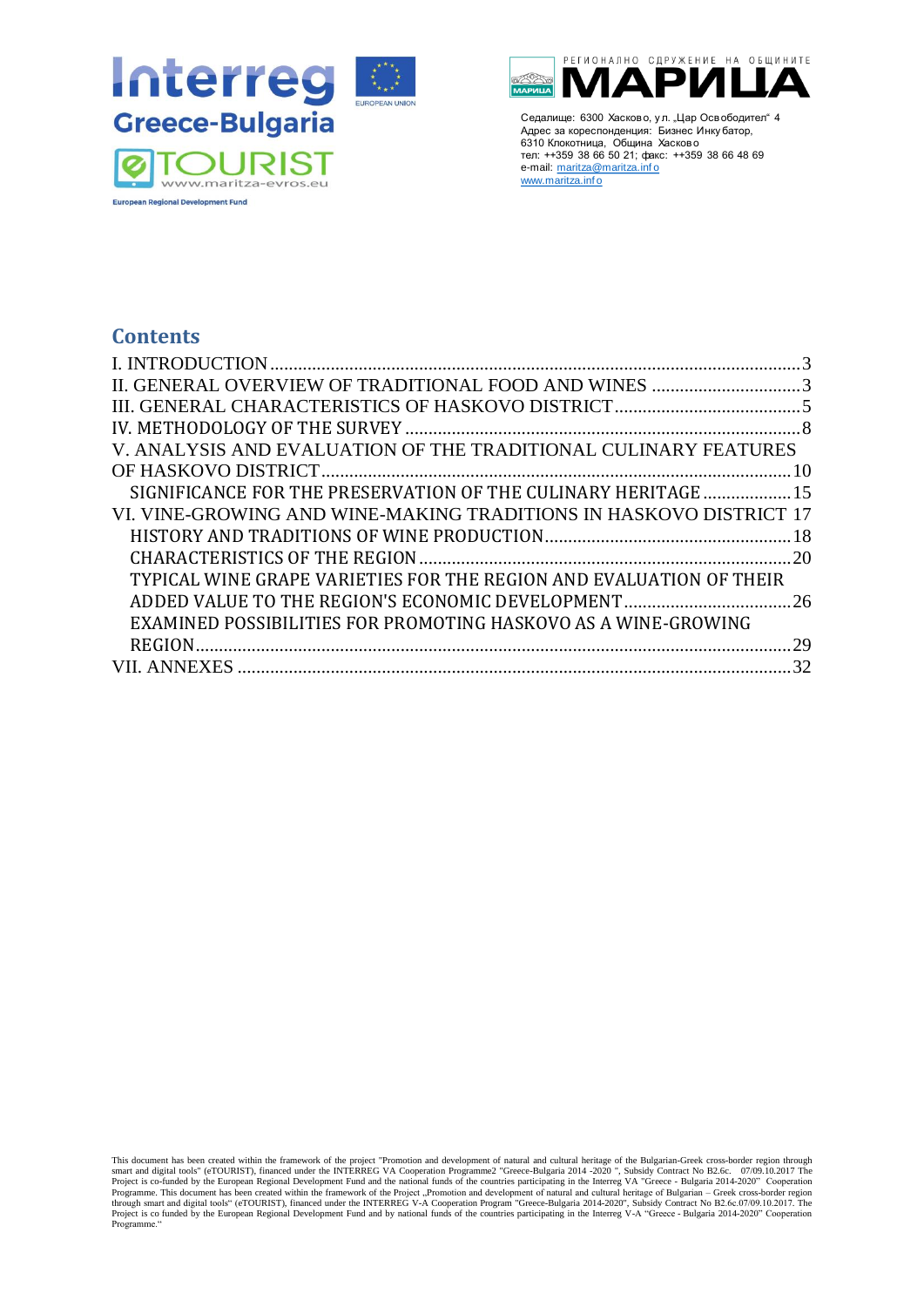



## **Contents**

| II. GENERAL OVERVIEW OF TRADITIONAL FOOD AND WINES 3                |     |
|---------------------------------------------------------------------|-----|
|                                                                     |     |
|                                                                     |     |
| V. ANALYSIS AND EVALUATION OF THE TRADITIONAL CULINARY FEATURES     |     |
|                                                                     |     |
| SIGNIFICANCE FOR THE PRESERVATION OF THE CULINARY HERITAGE 15       |     |
| VI. VINE-GROWING AND WINE-MAKING TRADITIONS IN HASKOVO DISTRICT 17  |     |
|                                                                     |     |
|                                                                     |     |
| TYPICAL WINE GRAPE VARIETIES FOR THE REGION AND EVALUATION OF THEIR |     |
|                                                                     |     |
| EXAMINED POSSIBILITIES FOR PROMOTING HASKOVO AS A WINE-GROWING      |     |
|                                                                     | .29 |
|                                                                     |     |

This document has been created within the framework of the project "Promotion and development of natural and cultural heritage of the Bulgarian-Greek cross-border region through smart and digital tools" (eTOURIST), finance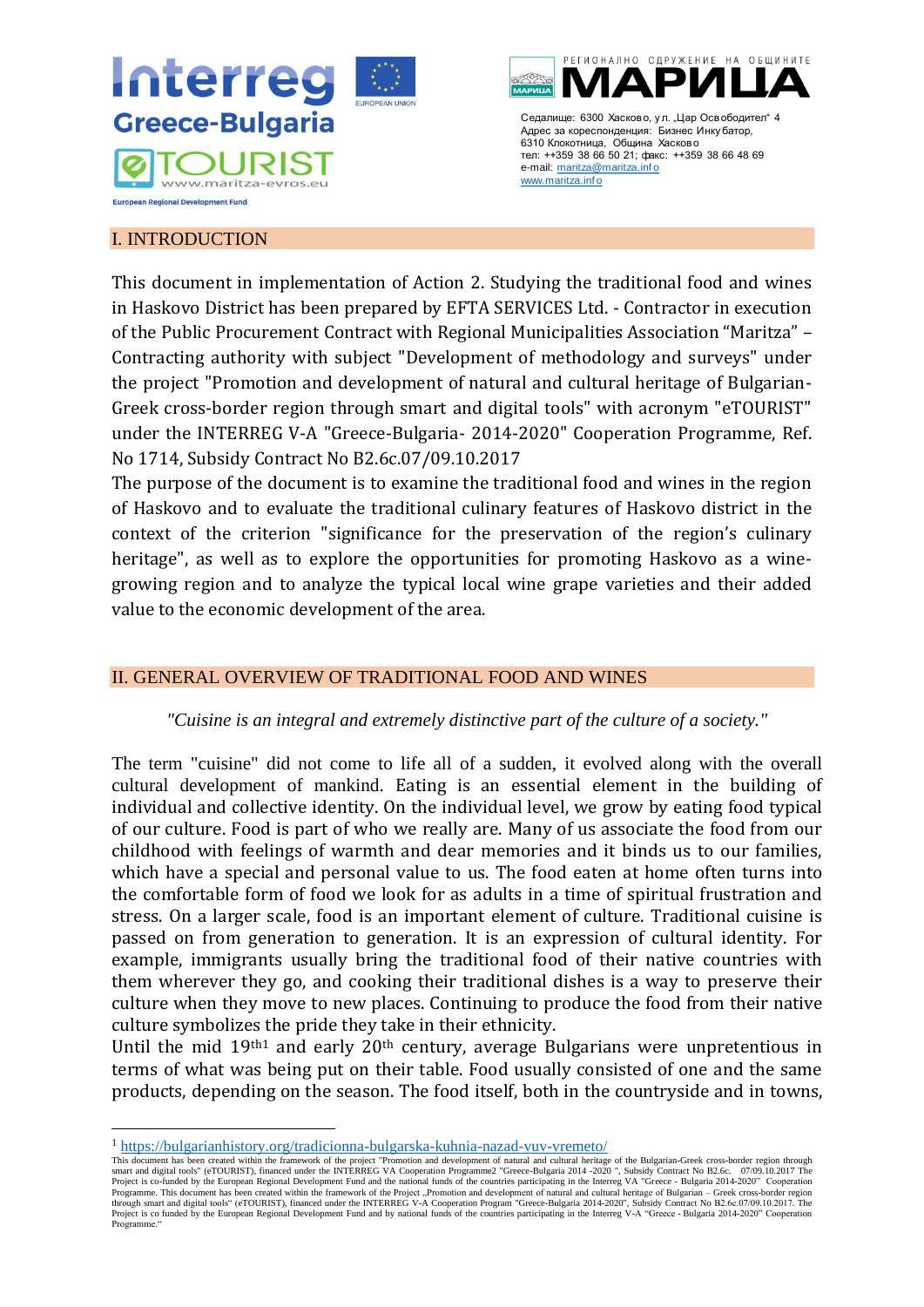



### <span id="page-2-0"></span>I. INTRODUCTION

This document in implementation of Action 2. Studying the traditional food and wines in Haskovo District has been prepared by EFTA SERVICES Ltd. - Contractor in execution of the Public Procurement Contract with Regional Municipalities Association "Maritza" – Contracting authority with subject "Development of methodology and surveys" under the project "Promotion and development of natural and cultural heritage of Bulgarian-Greek cross-border region through smart and digital tools" with acronym "eTOURIST" under the INTERREG V-A "Greece-Bulgaria- 2014-2020" Cooperation Programme, Ref. No 1714, Subsidy Contract No B2.6c.07/09.10.2017

The purpose of the document is to examine the traditional food and wines in the region of Haskovo and to evaluate the traditional culinary features of Haskovo district in the context of the criterion "significance for the preservation of the region's culinary heritage", as well as to explore the opportunities for promoting Haskovo as a winegrowing region and to analyze the typical local wine grape varieties and their added value to the economic development of the area.

## <span id="page-2-1"></span>II. GENERAL OVERVIEW OF TRADITIONAL FOOD AND WINES

## *"Cuisine is an integral and extremely distinctive part of the culture of a society."*

The term "cuisine" did not come to life all of a sudden, it evolved along with the overall cultural development of mankind. Eating is an essential element in the building of individual and collective identity. On the individual level, we grow by eating food typical of our culture. Food is part of who we really are. Many of us associate the food from our childhood with feelings of warmth and dear memories and it binds us to our families, which have a special and personal value to us. The food eaten at home often turns into the comfortable form of food we look for as adults in a time of spiritual frustration and stress. On a larger scale, food is an important element of culture. Traditional cuisine is passed on from generation to generation. It is an expression of cultural identity. For example, immigrants usually bring the traditional food of their native countries with them wherever they go, and cooking their traditional dishes is a way to preserve their culture when they move to new places. Continuing to produce the food from their native culture symbolizes the pride they take in their ethnicity.

Until the mid  $19<sup>th1</sup>$  and early  $20<sup>th</sup>$  century, average Bulgarians were unpretentious in terms of what was being put on their table. Food usually consisted of one and the same products, depending on the season. The food itself, both in the countryside and in towns,

<sup>1</sup> <https://bulgarianhistory.org/tradicionna-bulgarska-kuhnia-nazad-vuv-vremeto/>

This document has been created within the framework of the project "Promotion and development of natural and cultural heritage of the Bulgarian-Greek cross-border region through smart and digital tools" (eTOURIST), financed under the INTERREG VA Cooperation Programme2 "Greece-Bulgaria 2014 -2020 ", Subsidy Contract No B2.6c. 07/09.10.2017 The<br>Project is co-funded by the European Regional Developme Programme. This document has been created within the framework of the Project "Promotion and development of natural and cultural heritage of Bulgarian – Greek cross-border region<br>through smart and digital tools" (eTOURIST) Project is co funded by the European Regional Development Fund and by national funds of the countries participating in the Interreg V-A "Greece - Bulgaria 2014-2020" Cooperation Programme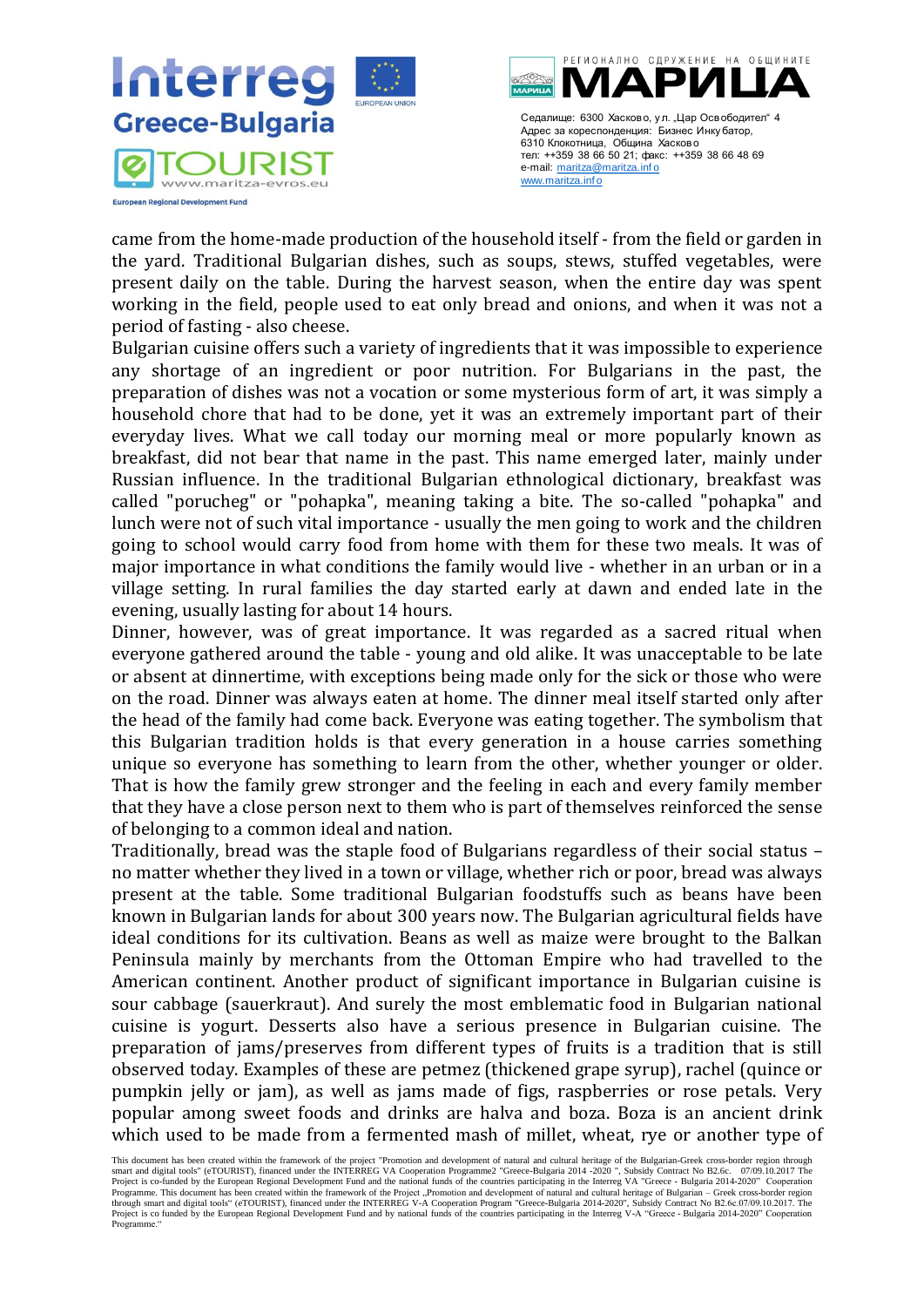



came from the home-made production of the household itself - from the field or garden in the yard. Traditional Bulgarian dishes, such as soups, stews, stuffed vegetables, were present daily on the table. During the harvest season, when the entire day was spent working in the field, people used to eat only bread and onions, and when it was not a period of fasting - also cheese.

Bulgarian cuisine offers such a variety of ingredients that it was impossible to experience any shortage of an ingredient or poor nutrition. For Bulgarians in the past, the preparation of dishes was not a vocation or some mysterious form of art, it was simply a household chore that had to be done, yet it was an extremely important part of their everyday lives. What we call today our morning meal or more popularly known as breakfast, did not bear that name in the past. This name emerged later, mainly under Russian influence. In the traditional Bulgarian ethnological dictionary, breakfast was called "porucheg" or "pohapka", meaning taking a bite. The so-called "pohapka" and lunch were not of such vital importance - usually the men going to work and the children going to school would carry food from home with them for these two meals. It was of major importance in what conditions the family would live - whether in an urban or in a village setting. In rural families the day started early at dawn and ended late in the evening, usually lasting for about 14 hours.

Dinner, however, was of great importance. It was regarded as a sacred ritual when everyone gathered around the table - young and old alike. It was unacceptable to be late or absent at dinnertime, with exceptions being made only for the sick or those who were on the road. Dinner was always eaten at home. The dinner meal itself started only after the head of the family had come back. Everyone was eating together. The symbolism that this Bulgarian tradition holds is that every generation in a house carries something unique so everyone has something to learn from the other, whether younger or older. That is how the family grew stronger and the feeling in each and every family member that they have a close person next to them who is part of themselves reinforced the sense of belonging to a common ideal and nation.

Traditionally, bread was the staple food of Bulgarians regardless of their social status – no matter whether they lived in a town or village, whether rich or poor, bread was always present at the table. Some traditional Bulgarian foodstuffs such as beans have been known in Bulgarian lands for about 300 years now. The Bulgarian agricultural fields have ideal conditions for its cultivation. Beans as well as maize were brought to the Balkan Peninsula mainly by merchants from the Ottoman Empire who had travelled to the American continent. Another product of significant importance in Bulgarian cuisine is sour cabbage (sauerkraut). And surely the most emblematic food in Bulgarian national cuisine is yogurt. Desserts also have a serious presence in Bulgarian cuisine. The preparation of jams/preserves from different types of fruits is a tradition that is still observed today. Examples of these are petmez (thickened grape syrup), rachel (quince or pumpkin jelly or jam), as well as jams made of figs, raspberries or rose petals. Very popular among sweet foods and drinks are halva and boza. Boza is an ancient drink which used to be made from a fermented mash of millet, wheat, rye or another type of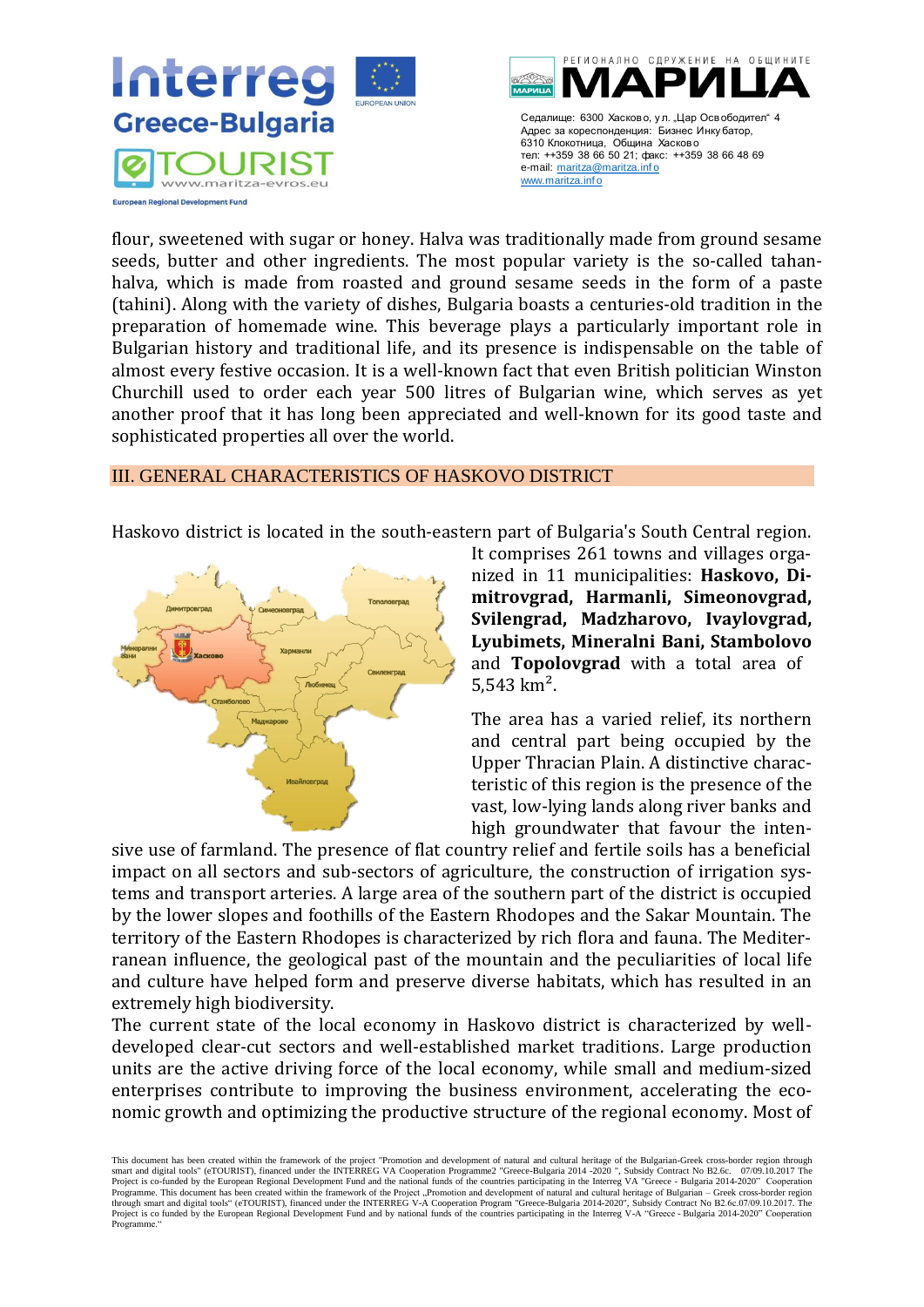



flour, sweetened with sugar or honey. Halva was traditionally made from ground sesame seeds, butter and other ingredients. The most popular variety is the so-called tahanhalva, which is made from roasted and ground sesame seeds in the form of a paste (tahini). Along with the variety of dishes, Bulgaria boasts a centuries-old tradition in the preparation of homemade wine. This beverage plays a particularly important role in Bulgarian history and traditional life, and its presence is indispensable on the table of almost every festive occasion. It is a well-known fact that even British politician Winston Churchill used to order each year 500 litres of Bulgarian wine, which serves as yet another proof that it has long been appreciated and well-known for its good taste and sophisticated properties all over the world.

#### <span id="page-4-0"></span>III. GENERAL CHARACTERISTICS OF HASKOVO DISTRICT

Haskovo district is located in the south-eastern part of Bulgaria's South Central region.



It comprises 261 towns and villages organized in 11 municipalities: **Haskovo, Dimitrovgrad, Harmanli, Simeonovgrad, Svilengrad, Madzharovo, Ivaylovgrad, Lyubimets, Mineralni Bani, Stambolovo** and **Topolovgrad** with a total area of 5,543 km².

The area has a varied relief, its northern and central part being occupied by the Upper Thracian Plain. A distinctive characteristic of this region is the presence of the vast, low-lying lands along river banks and high groundwater that favour the inten-

sive use of farmland. The presence of flat country relief and fertile soils has a beneficial impact on all sectors and sub-sectors of agriculture, the construction of irrigation systems and transport arteries. A large area of the southern part of the district is occupied by the lower slopes and foothills of the Eastern Rhodopes and the Sakar Mountain. The territory of the Eastern Rhodopes is characterized by rich flora and fauna. The Mediterranean influence, the geological past of the mountain and the peculiarities of local life and culture have helped form and preserve diverse habitats, which has resulted in an extremely high biodiversity.

The current state of the local economy in Haskovo district is characterized by welldeveloped clear-cut sectors and well-established market traditions. Large production units are the active driving force of the local economy, while small and medium-sized enterprises contribute to improving the business environment, accelerating the economic growth and optimizing the productive structure of the regional economy. Most of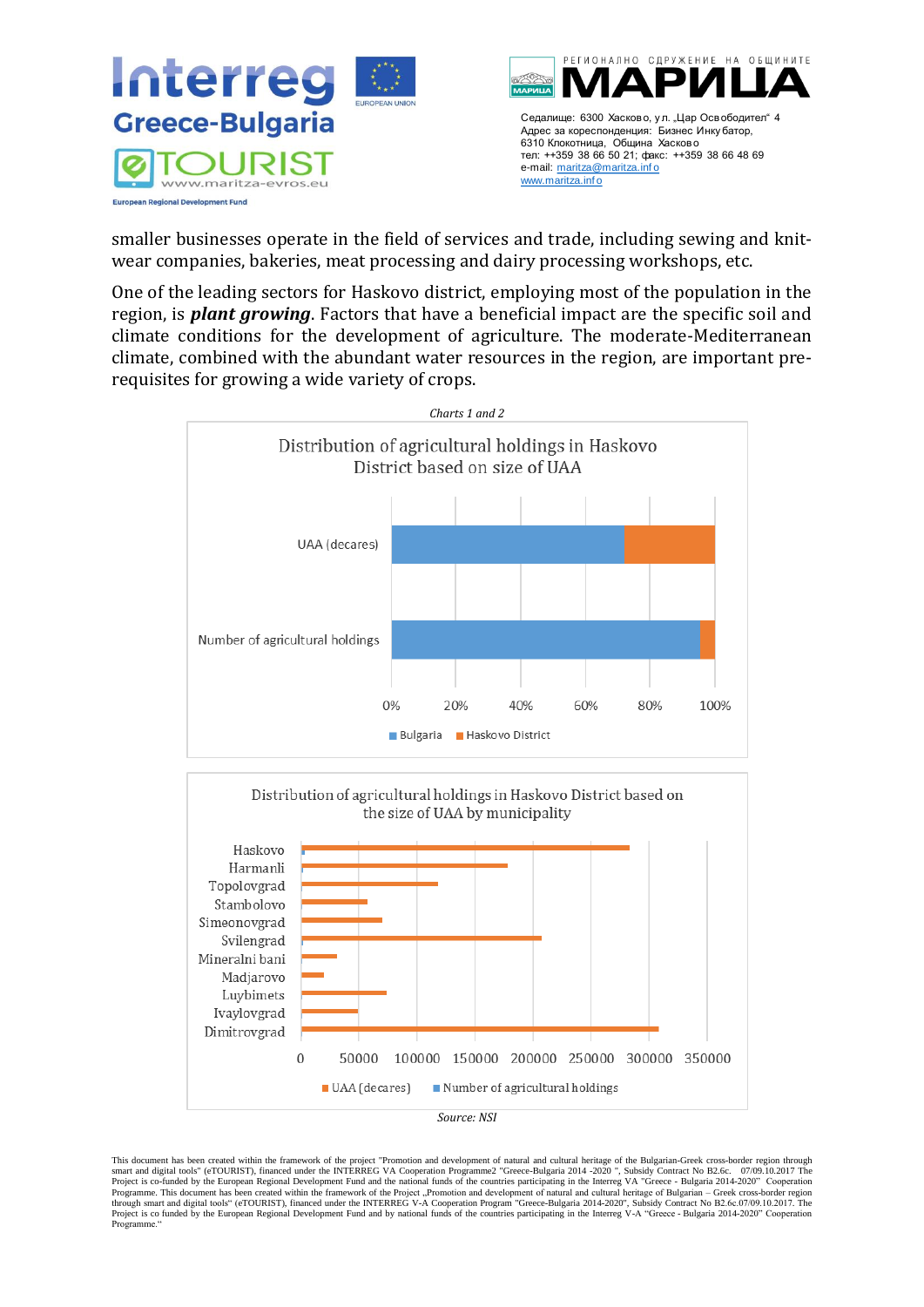

smaller businesses operate in the field of services and trade, including sewing and knitwear companies, bakeries, meat processing and dairy processing workshops, etc.

One of the leading sectors for Haskovo district, employing most of the population in the region, is *plant growing*. Factors that have a beneficial impact are the specific soil and climate conditions for the development of agriculture. The moderate-Mediterranean climate, combined with the abundant water resources in the region, are important prerequisites for growing a wide variety of crops.



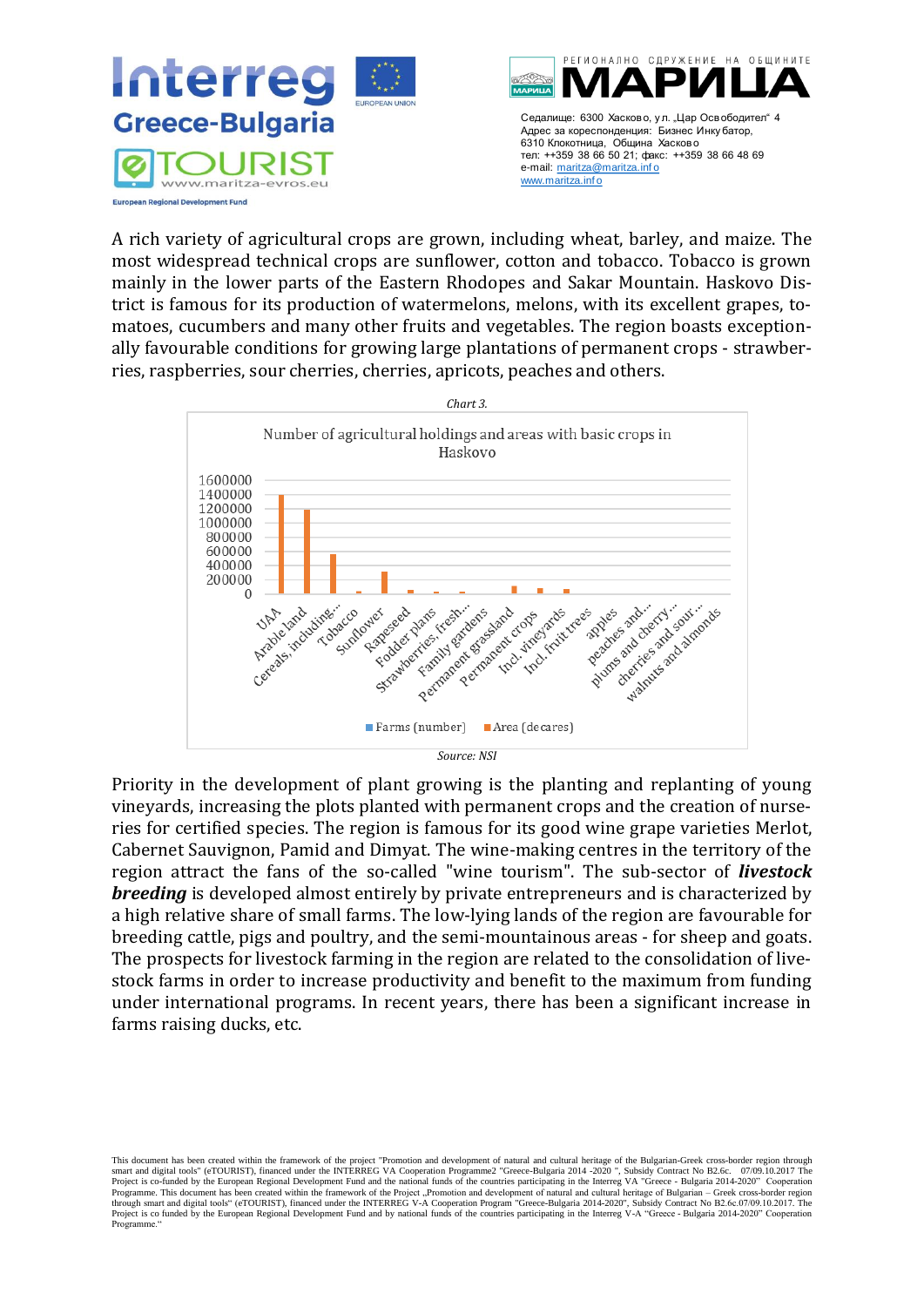

A rich variety of agricultural crops are grown, including wheat, barley, and maize. The most widespread technical crops are sunflower, cotton and tobacco. Tobacco is grown mainly in the lower parts of the Eastern Rhodopes and Sakar Mountain. Haskovo District is famous for its production of watermelons, melons, with its excellent grapes, tomatoes, cucumbers and many other fruits and vegetables. The region boasts exceptionally favourable conditions for growing large plantations of permanent crops - strawberries, raspberries, sour cherries, cherries, apricots, peaches and others.



Priority in the development of plant growing is the planting and replanting of young vineyards, increasing the plots planted with permanent crops and the creation of nurseries for certified species. The region is famous for its good wine grape varieties Merlot, Cabernet Sauvignon, Pamid and Dimyat. The wine-making centres in the territory of the region attract the fans of the so-called "wine tourism". The sub-sector of *livestock breeding* is developed almost entirely by private entrepreneurs and is characterized by a high relative share of small farms. The low-lying lands of the region are favourable for breeding cattle, pigs and poultry, and the semi-mountainous areas - for sheep and goats. The prospects for livestock farming in the region are related to the consolidation of livestock farms in order to increase productivity and benefit to the maximum from funding under international programs. In recent years, there has been a significant increase in farms raising ducks, etc.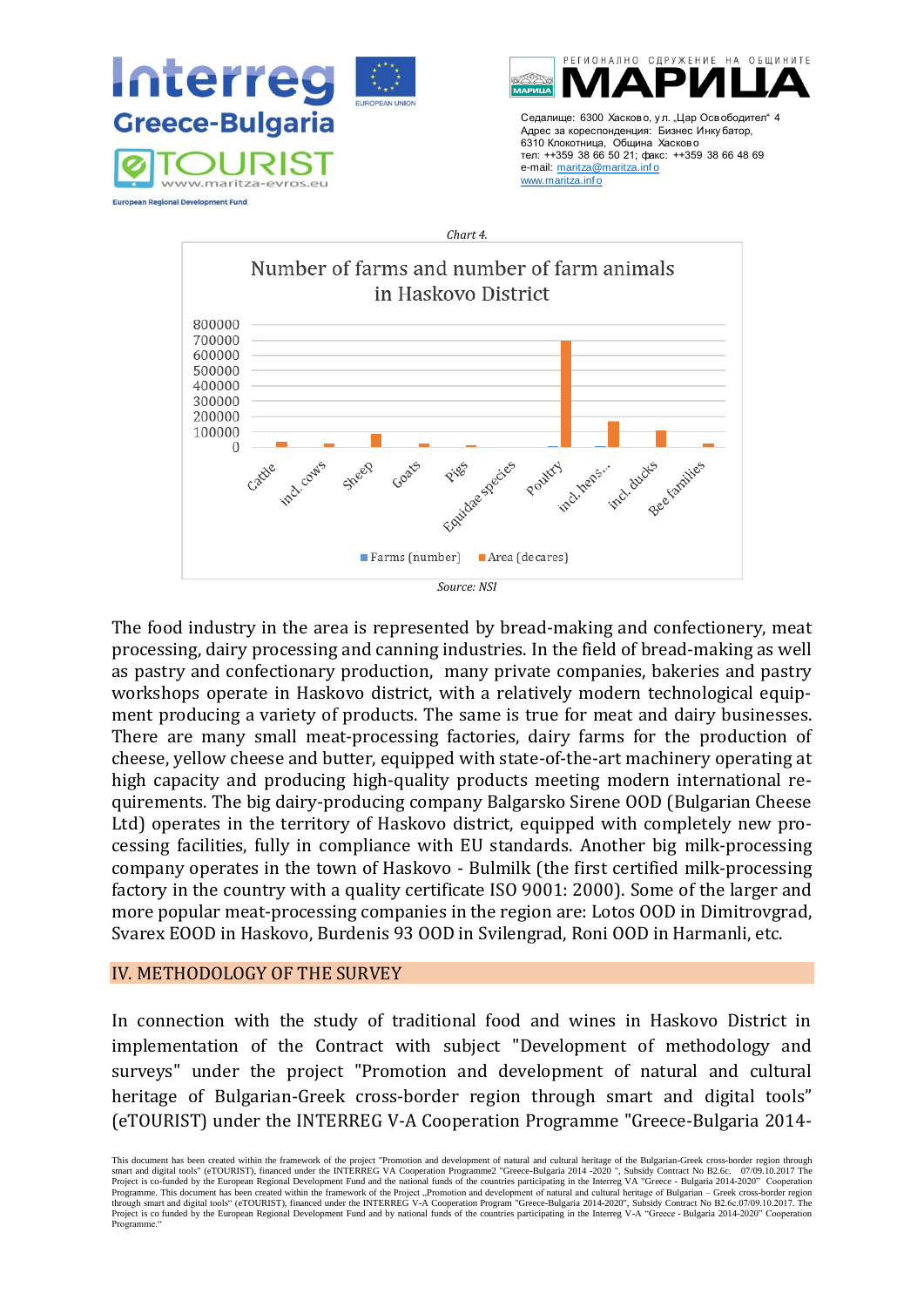



The food industry in the area is represented by bread-making and confectionery, meat processing, dairy processing and canning industries. In the field of bread-making as well as pastry and confectionary production, many private companies, bakeries and pastry workshops operate in Haskovo district, with a relatively modern technological equipment producing a variety of products. The same is true for meat and dairy businesses. There are many small meat-processing factories, dairy farms for the production of cheese, yellow cheese and butter, equipped with state-of-the-art machinery operating at high capacity and producing high-quality products meeting modern international requirements. The big dairy-producing company Balgarsko Sirene OOD (Bulgarian Cheese Ltd) operates in the territory of Haskovo district, equipped with completely new processing facilities, fully in compliance with EU standards. Another big milk-processing company operates in the town of Haskovo - Bulmilk (the first certified milk-processing factory in the country with a quality certificate ISO 9001: 2000). Some of the larger and more popular meat-processing companies in the region are: Lotos OOD in Dimitrovgrad, Svarex EOOD in Haskovo, Burdenis 93 OOD in Svilengrad, Roni OOD in Harmanli, etc.

#### <span id="page-7-0"></span>IV. METHODOLOGY OF THE SURVEY

In connection with the study of traditional food and wines in Haskovo District in implementation of the Contract with subject "Development of methodology and surveys" under the project "Promotion and development of natural and cultural heritage of Bulgarian-Greek cross-border region through smart and digital tools" (eTOURIST) under the INTERREG V-A Cooperation Programme "Greece-Bulgaria 2014-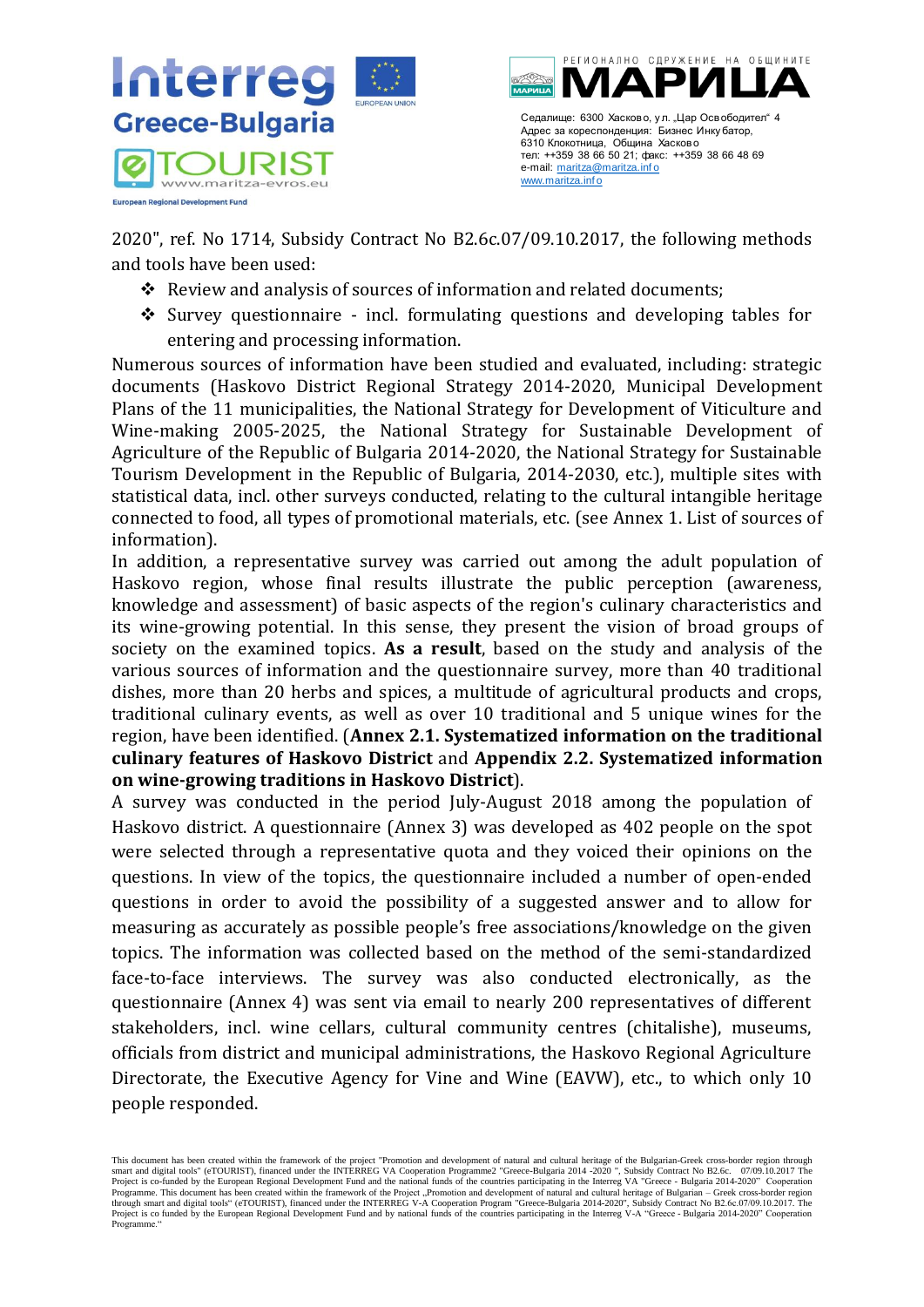

2020", ref. No 1714, Subsidy Contract No B2.6c.07/09.10.2017, the following methods and tools have been used:

- ❖ Review and analysis of sources of information and related documents;
- ❖ Survey questionnaire incl. formulating questions and developing tables for entering and processing information.

Numerous sources of information have been studied and evaluated, including: strategic documents (Haskovo District Regional Strategy 2014-2020, Municipal Development Plans of the 11 municipalities, the National Strategy for Development of Viticulture and Wine-making 2005-2025, the National Strategy for Sustainable Development of Agriculture of the Republic of Bulgaria 2014-2020, the National Strategy for Sustainable Tourism Development in the Republic of Bulgaria, 2014-2030, etc.), multiple sites with statistical data, incl. other surveys conducted, relating to the cultural intangible heritage connected to food, all types of promotional materials, etc. (see Annex 1. List of sources of information).

In addition, a representative survey was carried out among the adult population of Haskovo region, whose final results illustrate the public perception (awareness, knowledge and assessment) of basic aspects of the region's culinary characteristics and its wine-growing potential. In this sense, they present the vision of broad groups of society on the examined topics. **As a result**, based on the study and analysis of the various sources of information and the questionnaire survey, more than 40 traditional dishes, more than 20 herbs and spices, a multitude of agricultural products and crops, traditional culinary events, as well as over 10 traditional and 5 unique wines for the region, have been identified. (**Annex 2.1. Systematized information on the traditional culinary features of Haskovo District** and **Appendix 2.2. Systematized information on wine-growing traditions in Haskovo District**).

A survey was conducted in the period July-August 2018 among the population of Haskovo district. A questionnaire (Annex 3) was developed as 402 people on the spot were selected through a representative quota and they voiced their opinions on the questions. In view of the topics, the questionnaire included a number of open-ended questions in order to avoid the possibility of a suggested answer and to allow for measuring as accurately as possible people's free associations/knowledge on the given topics. The information was collected based on the method of the semi-standardized face-to-face interviews. The survey was also conducted electronically, as the questionnaire (Annex 4) was sent via email to nearly 200 representatives of different stakeholders, incl. wine cellars, cultural community centres (chitalishe), museums, officials from district and municipal administrations, the Haskovo Regional Agriculture Directorate, the Executive Agency for Vine and Wine (EAVW), etc., to which only 10 people responded.

This document has been created within the framework of the project "Promotion and development of natural and cultural heritage of the Bulgarian-Greek cross-border region through smart and digital tools" (eTOURIST), financed under the INTERREG VA Cooperation Programme2 "Greece-Bulgaria 2014 -2020 ", Subsidy Contract No B2.6c. 07/09.10.2017 The<br>Project is co-funded by the European Regional Developme Programme. This document has been created within the framework of the Project "Promotion and development of natural and cultural heritage of Bulgarian – Greek cross-border region<br>through smart and digital tools" (eTOURIST) Project is co funded by the European Regional Development Fund and by national funds of the countries participating in the Interreg V-A "Greece - Bulgaria 2014-2020" Cooperation Programme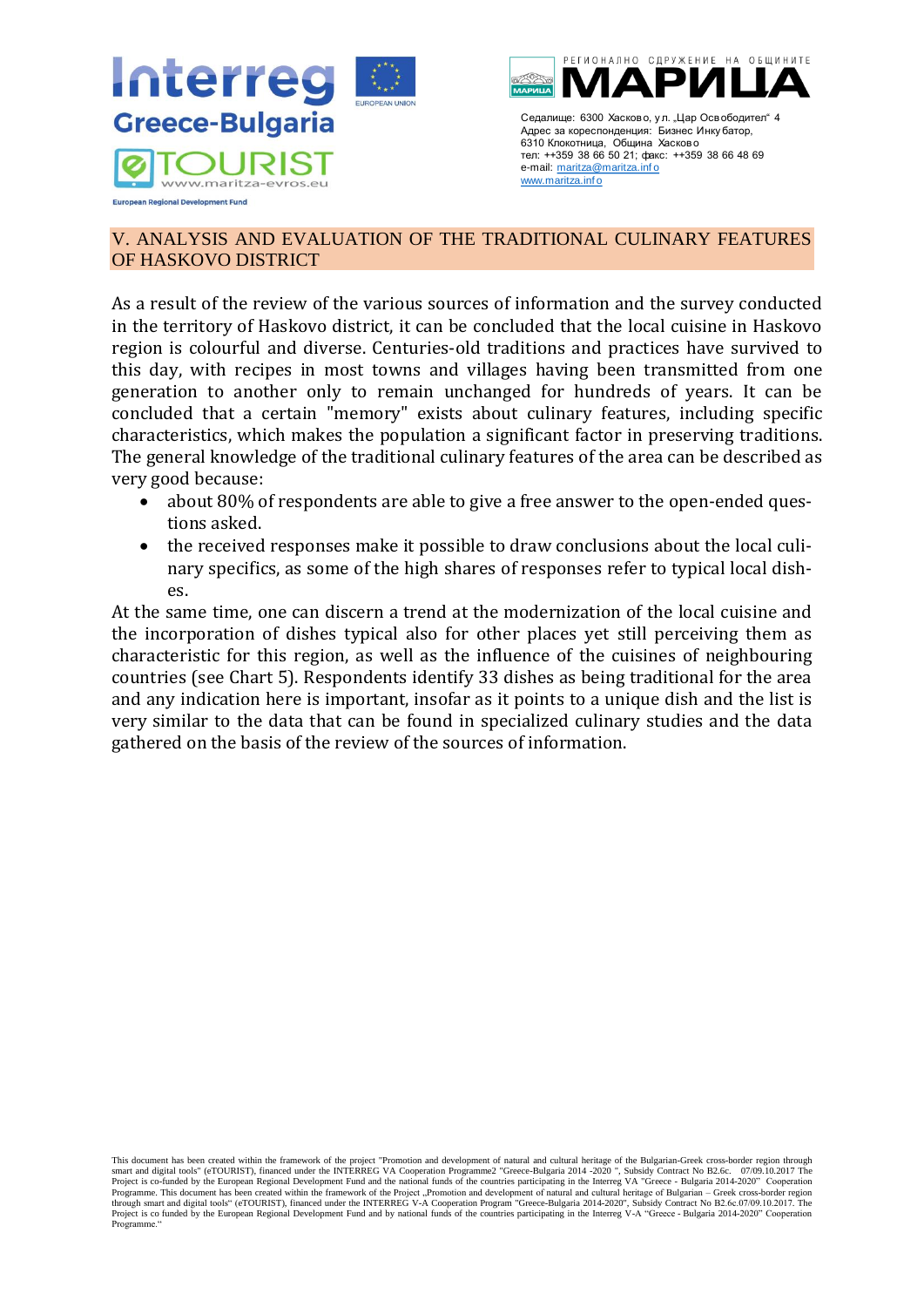



## <span id="page-9-0"></span>V. ANALYSIS AND EVALUATION OF THE TRADITIONAL CULINARY FEATURES OF HASKOVO DISTRICT

As a result of the review of the various sources of information and the survey conducted in the territory of Haskovo district, it can be concluded that the local cuisine in Haskovo region is colourful and diverse. Centuries-old traditions and practices have survived to this day, with recipes in most towns and villages having been transmitted from one generation to another only to remain unchanged for hundreds of years. It can be concluded that a certain "memory" exists about culinary features, including specific characteristics, which makes the population a significant factor in preserving traditions. The general knowledge of the traditional culinary features of the area can be described as very good because:

- about 80% of respondents are able to give a free answer to the open-ended questions asked.
- the received responses make it possible to draw conclusions about the local culinary specifics, as some of the high shares of responses refer to typical local dishes.

At the same time, one can discern a trend at the modernization of the local cuisine and the incorporation of dishes typical also for other places yet still perceiving them as characteristic for this region, as well as the influence of the cuisines of neighbouring countries (see Chart 5). Respondents identify 33 dishes as being traditional for the area and any indication here is important, insofar as it points to a unique dish and the list is very similar to the data that can be found in specialized culinary studies and the data gathered on the basis of the review of the sources of information.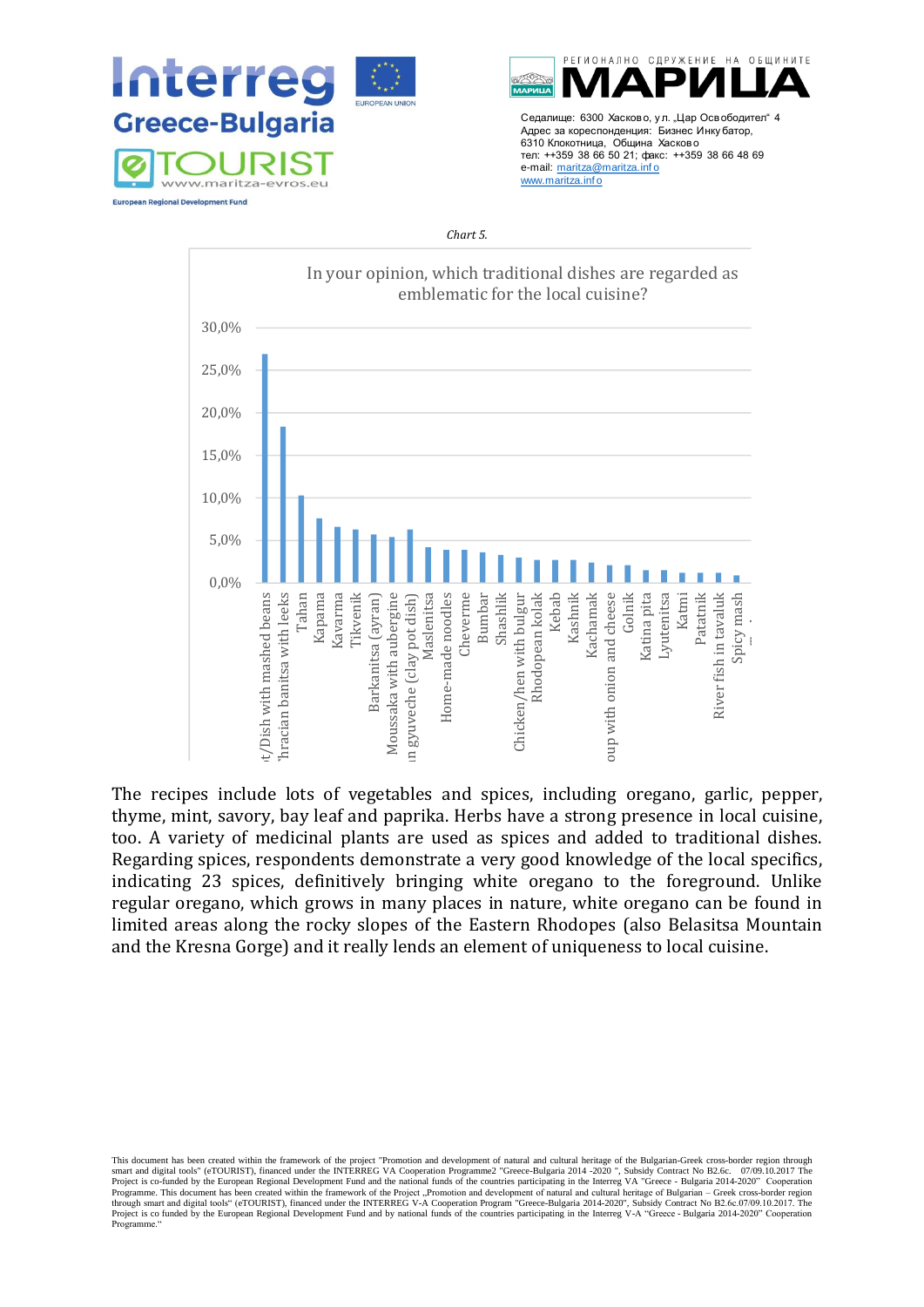



#### *Chart 5.*



The recipes include lots of vegetables and spices, including oregano, garlic, pepper, thyme, mint, savory, bay leaf and paprika. Herbs have a strong presence in local cuisine, too. A variety of medicinal plants are used as spices and added to traditional dishes. Regarding spices, respondents demonstrate a very good knowledge of the local specifics, indicating 23 spices, definitively bringing white oregano to the foreground. Unlike regular oregano, which grows in many places in nature, white oregano can be found in limited areas along the rocky slopes of the Eastern Rhodopes (also Belasitsa Mountain and the Kresna Gorge) and it really lends an element of uniqueness to local cuisine.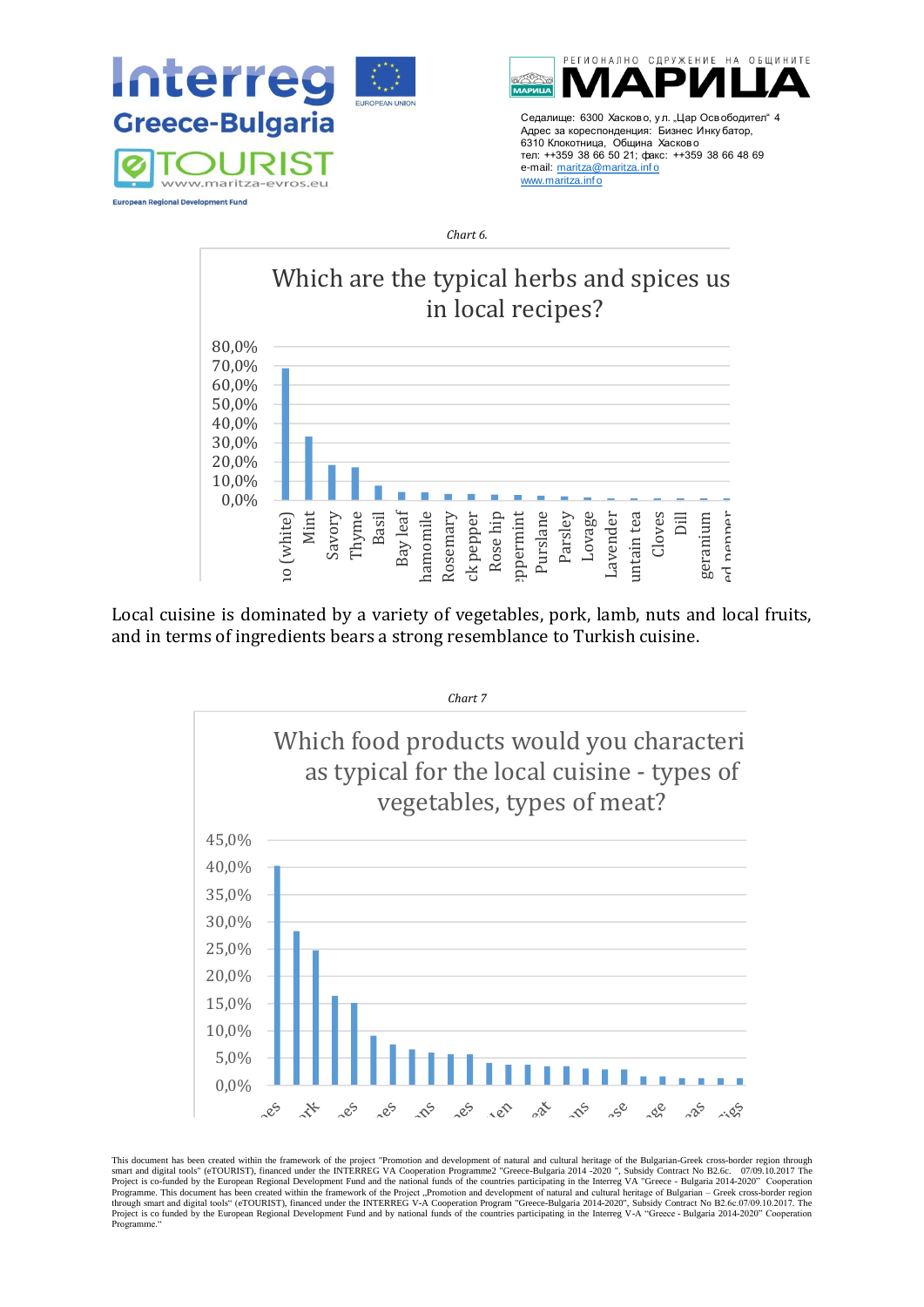



*Chart 6.*



St. John's wort Local cuisine is dominated by a variety of vegetables, pork, lamb, nuts and local fruits, and in terms of ingredients bears a strong resemblance to Turkish cuisine.



This document has been created within the framework of the project "Promotion and development of natural and cultural heritage of the Bulgarian-Greek cross-border region through smart and digital tools" (eTOURIST), financed under the INTERREG VA Cooperation Programme2 "Greece-Bulgaria 2014 -2020 ", Subsidy Contract No B2.6c. 07/09.10.2017 The<br>Project is co-funded by the European Regional Developme Project is co funded by the European Regional Development Fund and by national funds of the countries participating in the Interreg V-A "Greece - Bulgaria 2014-2020" Cooperation Programme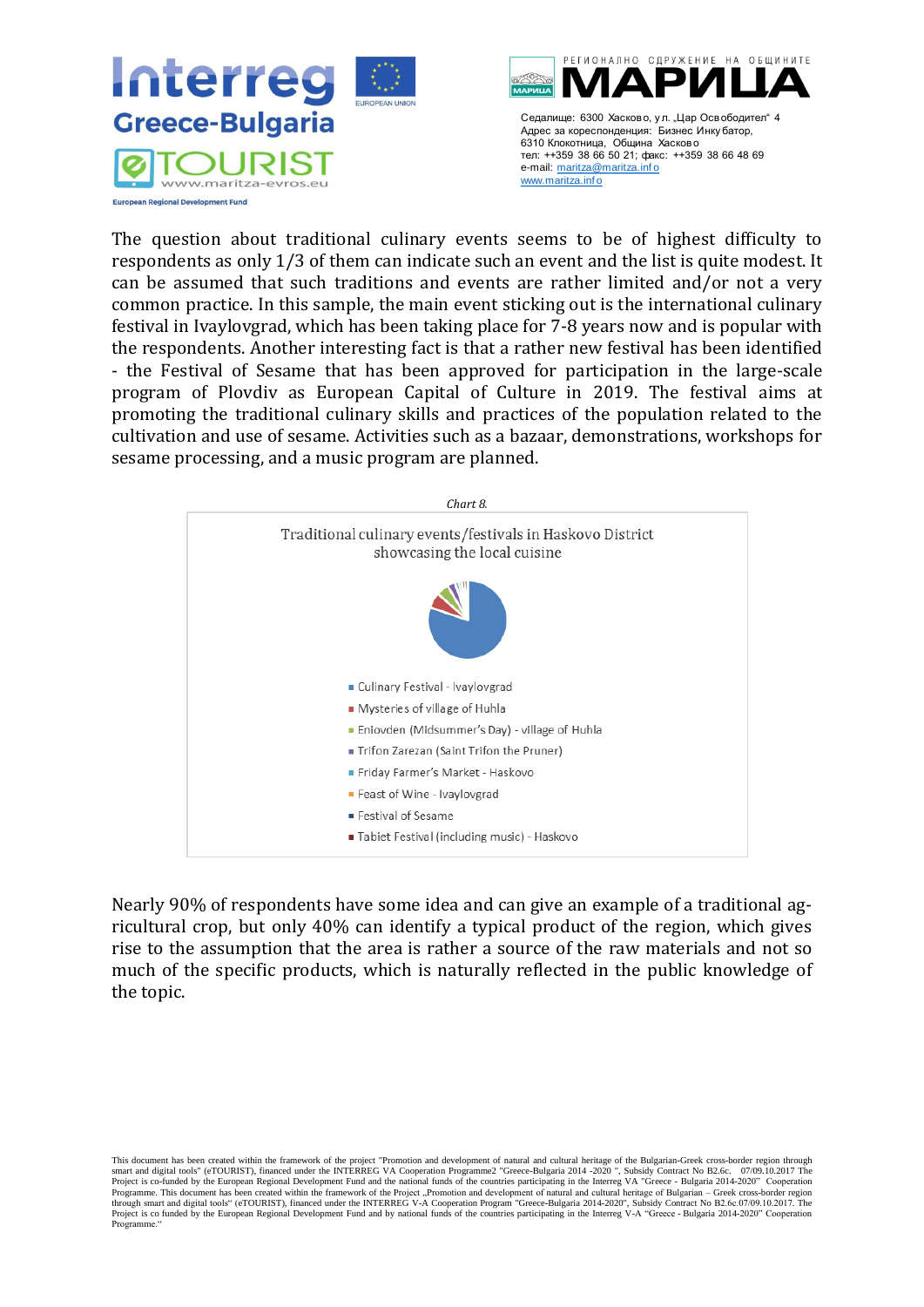



The question about traditional culinary events seems to be of highest difficulty to respondents as only 1/3 of them can indicate such an event and the list is quite modest. It can be assumed that such traditions and events are rather limited and/or not a very common practice. In this sample, the main event sticking out is the international culinary festival in Ivaylovgrad, which has been taking place for 7-8 years now and is popular with the respondents. Another interesting fact is that a rather new festival has been identified - the Festival of Sesame that has been approved for participation in the large-scale program of Plovdiv as European Capital of Culture in 2019. The festival aims at promoting the traditional culinary skills and practices of the population related to the cultivation and use of sesame. Activities such as a bazaar, demonstrations, workshops for sesame processing, and a music program are planned.



Nearly 90% of respondents have some idea and can give an example of a traditional agricultural crop, but only 40% can identify a typical product of the region, which gives rise to the assumption that the area is rather a source of the raw materials and not so much of the specific products, which is naturally reflected in the public knowledge of the topic.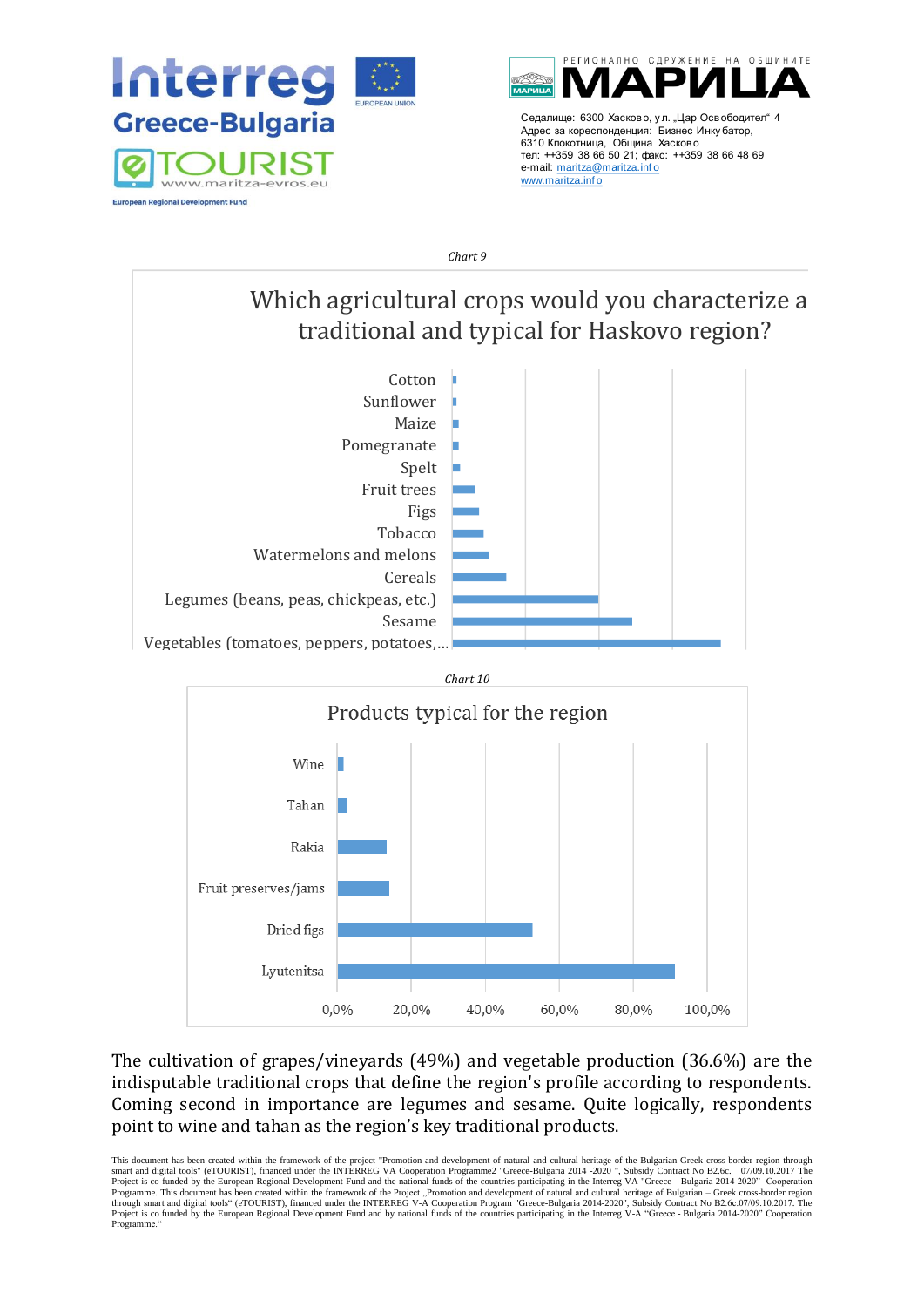



*Chart 9*

Which agricultural crops would you characterize a traditional and typical for Haskovo region?





The cultivation of grapes/vineyards (49%) and vegetable production (36.6%) are the indisputable traditional crops that define the region's profile according to respondents. Coming second in importance are legumes and sesame. Quite logically, respondents point to wine and tahan as the region's key traditional products.

This document has been created within the framework of the project "Promotion and development of natural and cultural heritage of the Bulgarian-Greek cross-border region through smart and digital tools" (eTOURIST), financed under the INTERREG VA Cooperation Programme2 "Greece-Bulgaria 2014 -2020 ", Subsidy Contract No B2.6c. 07/09.10.2017 The<br>Project is co-funded by the European Regional Developme Project is co funded by the European Regional Development Fund and by national funds of the countries participating in the Interreg V-A "Greece - Bulgaria 2014-2020" Cooperation Programme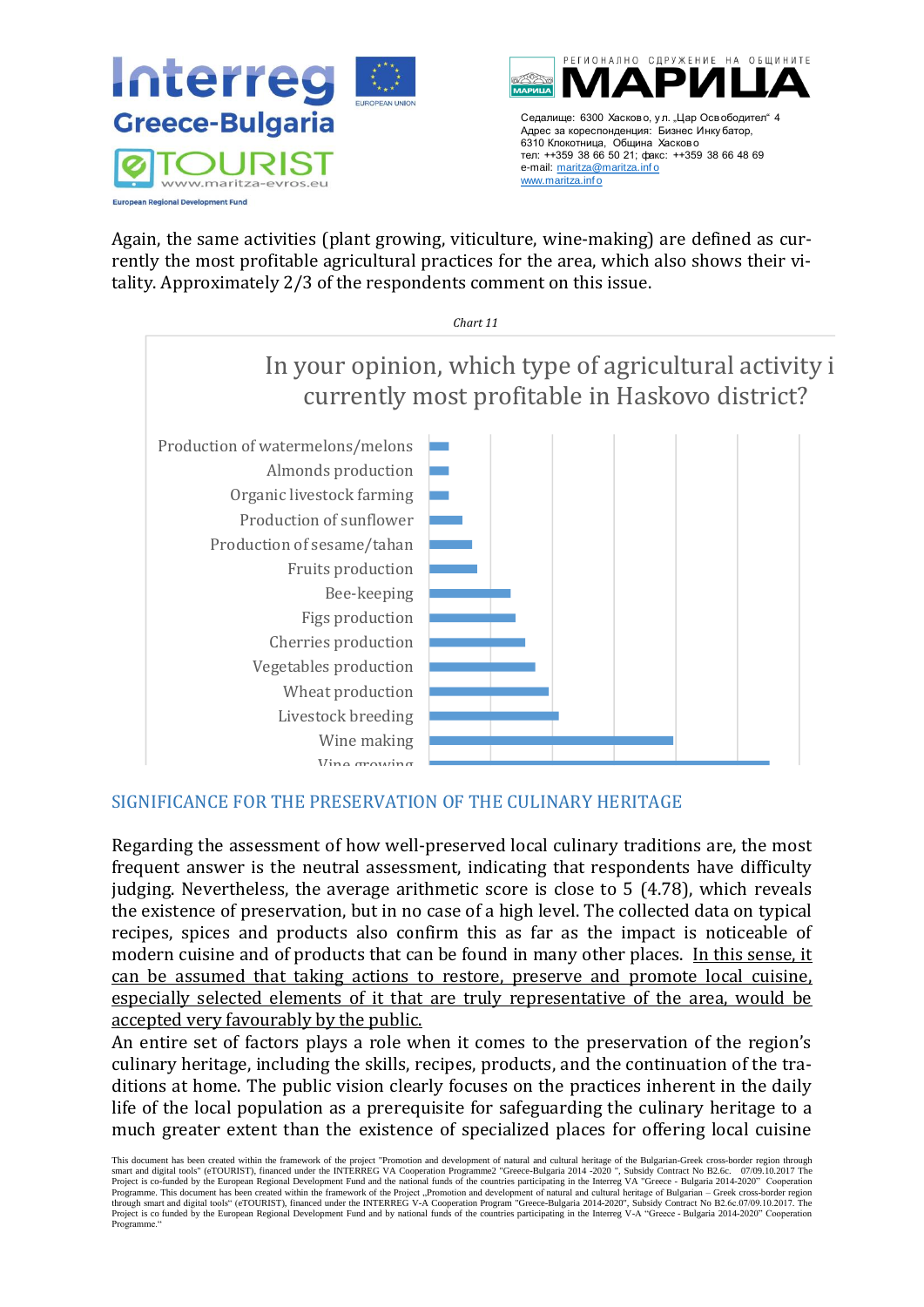

Again, the same activities (plant growing, viticulture, wine-making) are defined as currently the most profitable agricultural practices for the area, which also shows their vitality. Approximately 2/3 of the respondents comment on this issue.



# <span id="page-14-0"></span>SIGNIFICANCE FOR THE PRESERVATION OF THE CULINARY HERITAGE

Regarding the assessment of how well-preserved local culinary traditions are, the most frequent answer is the neutral assessment, indicating that respondents have difficulty judging. Nevertheless, the average arithmetic score is close to 5 (4.78), which reveals the existence of preservation, but in no case of a high level. The collected data on typical recipes, spices and products also confirm this as far as the impact is noticeable of modern cuisine and of products that can be found in many other places. In this sense, it can be assumed that taking actions to restore, preserve and promote local cuisine, especially selected elements of it that are truly representative of the area, would be accepted very favourably by the public.

An entire set of factors plays a role when it comes to the preservation of the region's culinary heritage, including the skills, recipes, products, and the continuation of the traditions at home. The public vision clearly focuses on the practices inherent in the daily life of the local population as a prerequisite for safeguarding the culinary heritage to a much greater extent than the existence of specialized places for offering local cuisine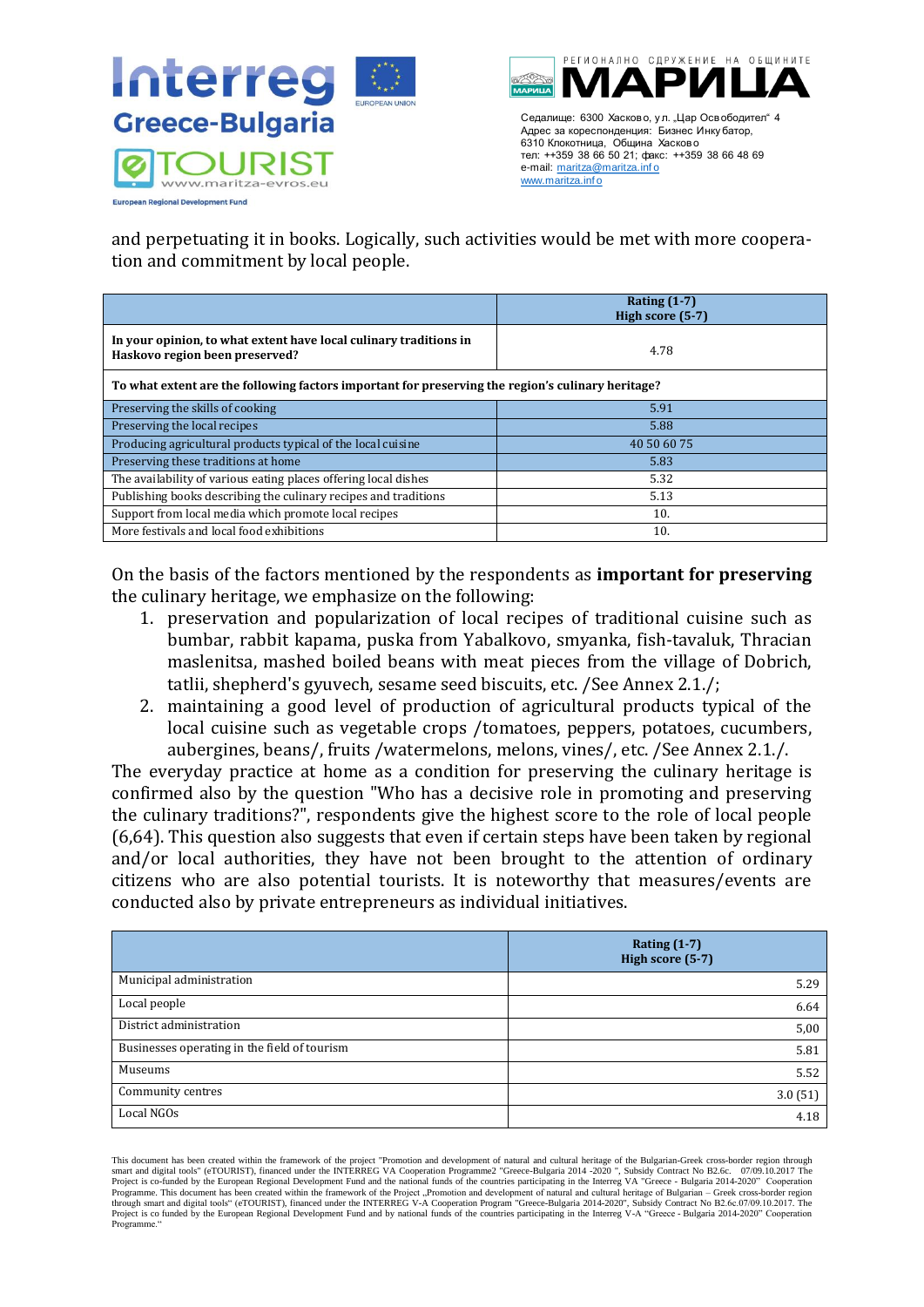



6310 Клокотница, Община Хасково тел: ++359 38 66 50 21; факс: ++359 38 66 48 69 e-mail: maritza@maritza.info www.maritza.inf o

and perpetuating it in books. Logically, such activities would be met with more cooperation and commitment by local people.

|                                                                                                     | Rating $(1-7)$<br>High score (5-7) |  |
|-----------------------------------------------------------------------------------------------------|------------------------------------|--|
| In your opinion, to what extent have local culinary traditions in<br>Haskovo region been preserved? | 4.78                               |  |
| To what extent are the following factors important for preserving the region's culinary heritage?   |                                    |  |
| Preserving the skills of cooking                                                                    | 5.91                               |  |
| Preserving the local recipes                                                                        | 5.88                               |  |
| Producing agricultural products typical of the local cuisine                                        | 40 50 60 75                        |  |
| Preserving these traditions at home                                                                 | 5.83                               |  |
| The availability of various eating places offering local dishes                                     | 5.32                               |  |
| Publishing books describing the culinary recipes and traditions                                     | 5.13                               |  |
| Support from local media which promote local recipes                                                | 10.                                |  |
| More festivals and local food exhibitions                                                           | 10.                                |  |

On the basis of the factors mentioned by the respondents as **important for preserving** the culinary heritage, we emphasize on the following:

- 1. preservation and popularization of local recipes of traditional cuisine such as bumbar, rabbit kapama, puska from Yabalkovo, smyanka, fish-tavaluk, Thracian maslenitsa, mashed boiled beans with meat pieces from the village of Dobrich, tatlii, shepherd's gyuvech, sesame seed biscuits, etc. /See Annex 2.1./;
- 2. maintaining a good level of production of agricultural products typical of the local cuisine such as vegetable crops /tomatoes, peppers, potatoes, cucumbers, aubergines, beans/, fruits /watermelons, melons, vines/, etc. /See Annex 2.1./.

The everyday practice at home as a condition for preserving the culinary heritage is confirmed also by the question "Who has a decisive role in promoting and preserving the culinary traditions?", respondents give the highest score to the role of local people (6,64). This question also suggests that even if certain steps have been taken by regional and/or local authorities, they have not been brought to the attention of ordinary citizens who are also potential tourists. It is noteworthy that measures/events are conducted also by private entrepreneurs as individual initiatives.

|                                              | Rating $(1-7)$<br>High score (5-7) |
|----------------------------------------------|------------------------------------|
|                                              |                                    |
| Municipal administration                     | 5.29                               |
| Local people                                 | 6.64                               |
| District administration                      | 5,00                               |
| Businesses operating in the field of tourism | 5.81                               |
| Museums                                      | 5.52                               |
| Community centres                            | 3.0(51)                            |
| Local NGOs                                   | 4.18                               |

This document has been created within the framework of the project "Promotion and development of natural and cultural heritage of the Bulgarian-Greek cross-border region through smart and digital tools" (eTOURIST), financed under the INTERREG VA Cooperation Programme2 "Greece-Bulgaria 2014 -2020 ", Subsidy Contract No B2.6c. 07/09.10.2017 The<br>Project is co-funded by the European Regional Developme Programme. This document has been created within the framework of the Project "Promotion and development of natural and cultural heritage of Bulgarian – Greek cross-border region<br>through smart and digital tools" (eTOURIST) Project is co funded by the European Regional Development Fund and by national funds of the countries participating in the Interreg V-A "Greece - Bulgaria 2014-2020" Cooperation Programme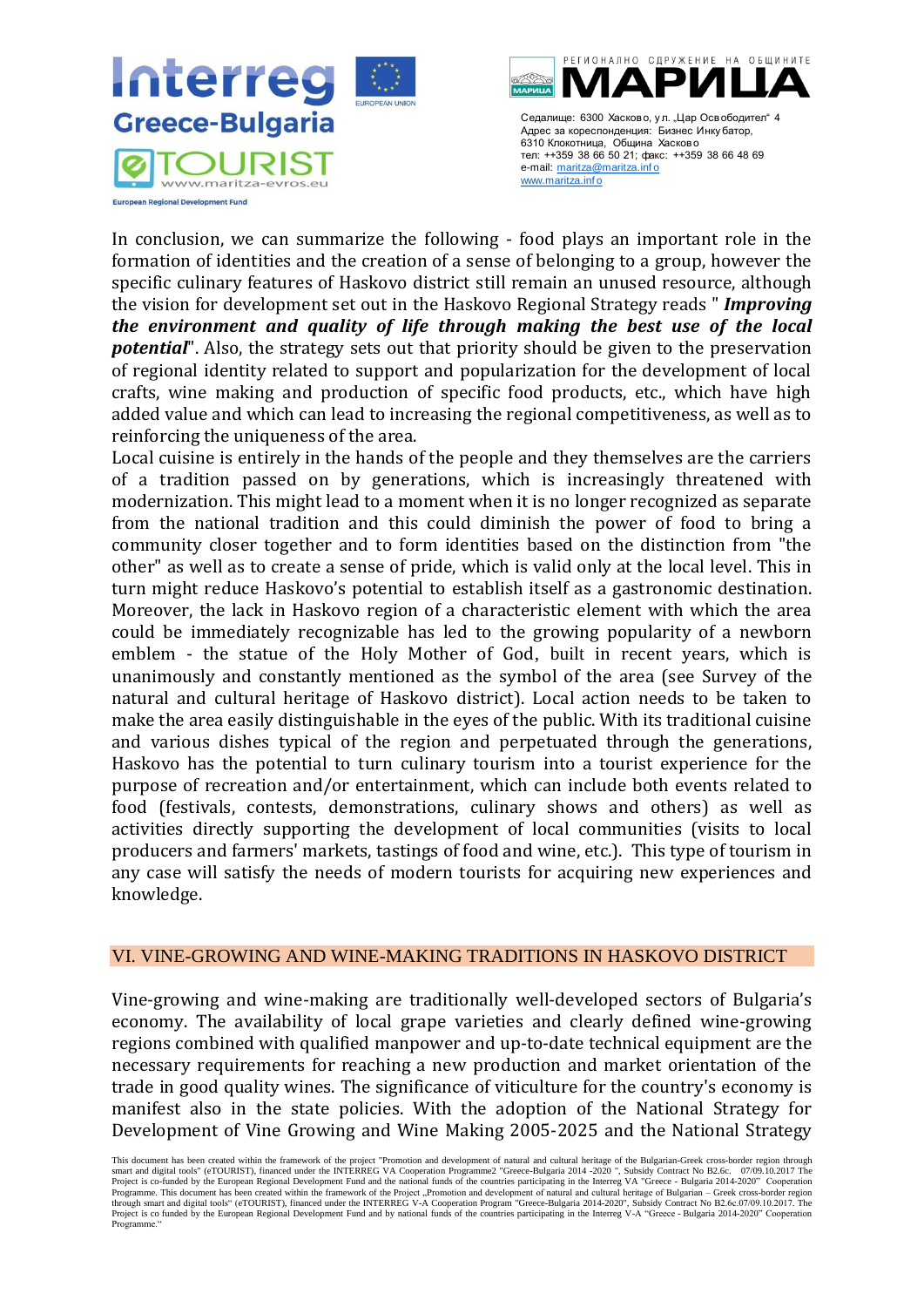



In conclusion, we can summarize the following - food plays an important role in the formation of identities and the creation of a sense of belonging to a group, however the specific culinary features of Haskovo district still remain an unused resource, although the vision for development set out in the Haskovo Regional Strategy reads " *Improving the environment and quality of life through making the best use of the local potential*". Also, the strategy sets out that priority should be given to the preservation of regional identity related to support and popularization for the development of local crafts, wine making and production of specific food products, etc., which have high added value and which can lead to increasing the regional competitiveness, as well as to reinforcing the uniqueness of the area.

Local cuisine is entirely in the hands of the people and they themselves are the carriers of a tradition passed on by generations, which is increasingly threatened with modernization. This might lead to a moment when it is no longer recognized as separate from the national tradition and this could diminish the power of food to bring a community closer together and to form identities based on the distinction from "the other" as well as to create a sense of pride, which is valid only at the local level. This in turn might reduce Haskovo's potential to establish itself as a gastronomic destination. Moreover, the lack in Haskovo region of a characteristic element with which the area could be immediately recognizable has led to the growing popularity of a newborn emblem - the statue of the Holy Mother of God, built in recent years, which is unanimously and constantly mentioned as the symbol of the area (see Survey of the natural and cultural heritage of Haskovo district). Local action needs to be taken to make the area easily distinguishable in the eyes of the public. With its traditional cuisine and various dishes typical of the region and perpetuated through the generations, Haskovo has the potential to turn culinary tourism into a tourist experience for the purpose of recreation and/or entertainment, which can include both events related to food (festivals, contests, demonstrations, culinary shows and others) as well as activities directly supporting the development of local communities (visits to local producers and farmers' markets, tastings of food and wine, etc.). This type of tourism in any case will satisfy the needs of modern tourists for acquiring new experiences and knowledge.

#### <span id="page-16-0"></span>VI. VINE-GROWING AND WINE-MAKING TRADITIONS IN HASKOVO DISTRICT

Vine-growing and wine-making are traditionally well-developed sectors of Bulgaria's economy. The availability of local grape varieties and clearly defined wine-growing regions combined with qualified manpower and up-to-date technical equipment are the necessary requirements for reaching a new production and market orientation of the trade in good quality wines. The significance of viticulture for the country's economy is manifest also in the state policies. With the adoption of the National Strategy for Development of Vine Growing and Wine Making 2005-2025 and the National Strategy

This document has been created within the framework of the project "Promotion and development of natural and cultural heritage of the Bulgarian-Greek cross-border region through smart and digital tools" (eTOURIST), financed under the INTERREG VA Cooperation Programme2 "Greece-Bulgaria 2014 -2020 ", Subsidy Contract No B2.6c. 07/09.10.2017 The<br>Project is co-funded by the European Regional Developme Programme. This document has been created within the framework of the Project "Promotion and development of natural and cultural heritage of Bulgarian – Greek cross-border region<br>through smart and digital tools" (eTOURIST) Project is co funded by the European Regional Development Fund and by national funds of the countries participating in the Interreg V-A "Greece - Bulgaria 2014-2020" Cooperation Programme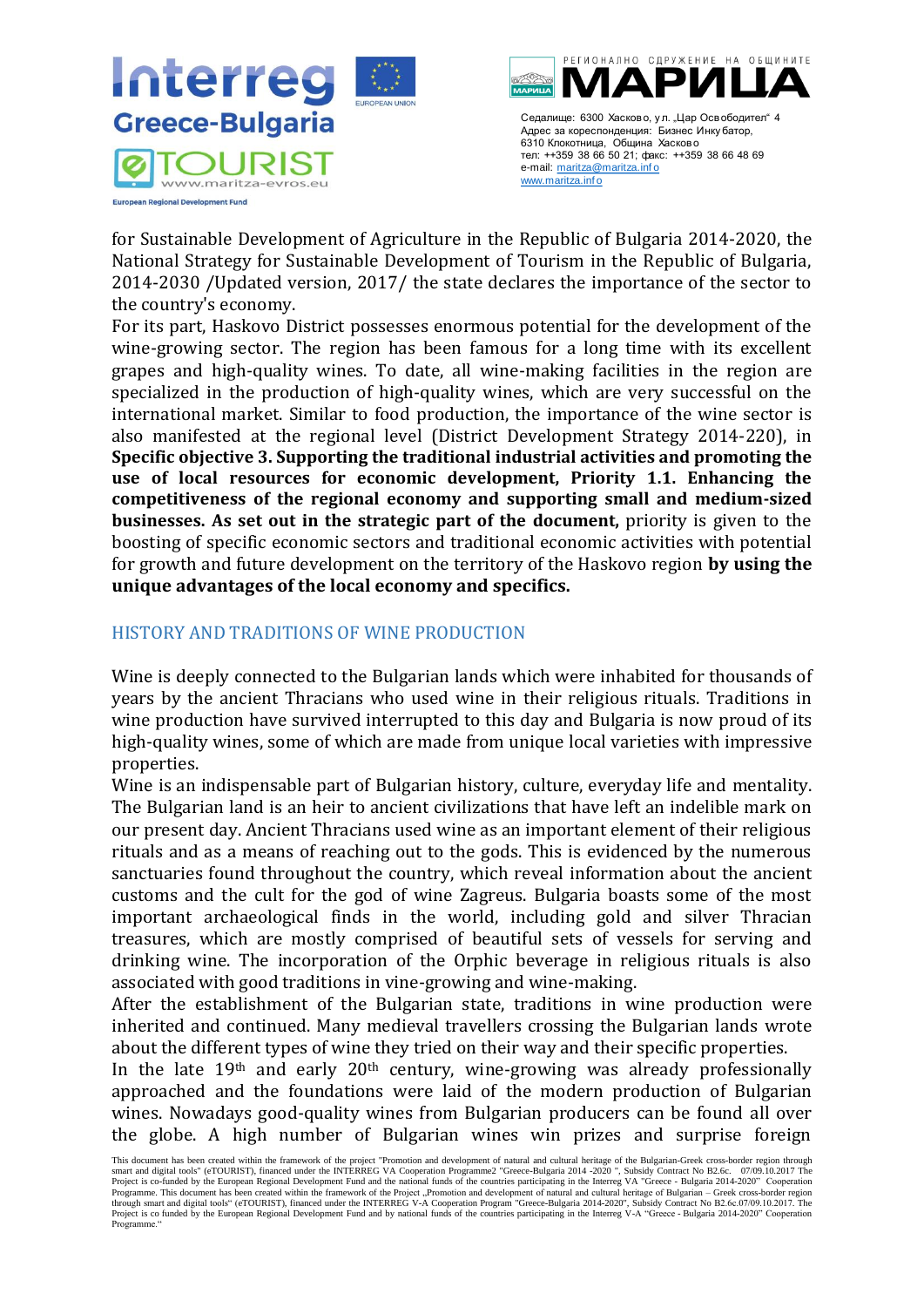



for Sustainable Development of Agriculture in the Republic of Bulgaria 2014-2020, the National Strategy for Sustainable Development of Tourism in the Republic of Bulgaria, 2014-2030 /Updated version, 2017/ the state declares the importance of the sector to the country's economy.

For its part, Haskovo District possesses enormous potential for the development of the wine-growing sector. The region has been famous for a long time with its excellent grapes and high-quality wines. To date, all wine-making facilities in the region are specialized in the production of high-quality wines, which are very successful on the international market. Similar to food production, the importance of the wine sector is also manifested at the regional level (District Development Strategy 2014-220), in **Specific objective 3. Supporting the traditional industrial activities and promoting the use of local resources for economic development, Priority 1.1. Enhancing the competitiveness of the regional economy and supporting small and medium-sized businesses. As set out in the strategic part of the document,** priority is given to the boosting of specific economic sectors and traditional economic activities with potential for growth and future development on the territory of the Haskovo region **by using the unique advantages of the local economy and specifics.**

## <span id="page-17-0"></span>HISTORY AND TRADITIONS OF WINE PRODUCTION

Wine is deeply connected to the Bulgarian lands which were inhabited for thousands of years by the ancient Thracians who used wine in their religious rituals. Traditions in wine production have survived interrupted to this day and Bulgaria is now proud of its high-quality wines, some of which are made from unique local varieties with impressive properties.

Wine is an indispensable part of Bulgarian history, culture, everyday life and mentality. The Bulgarian land is an heir to ancient civilizations that have left an indelible mark on our present day. Ancient Thracians used wine as an important element of their religious rituals and as a means of reaching out to the gods. This is evidenced by the numerous sanctuaries found throughout the country, which reveal information about the ancient customs and the cult for the god of wine Zagreus. Bulgaria boasts some of the most important archaeological finds in the world, including gold and silver Thracian treasures, which are mostly comprised of beautiful sets of vessels for serving and drinking wine. The incorporation of the Orphic beverage in religious rituals is also associated with good traditions in vine-growing and wine-making.

After the establishment of the Bulgarian state, traditions in wine production were inherited and continued. Many medieval travellers crossing the Bulgarian lands wrote about the different types of wine they tried on their way and their specific properties.

In the late  $19<sup>th</sup>$  and early  $20<sup>th</sup>$  century, wine-growing was already professionally approached and the foundations were laid of the modern production of Bulgarian wines. Nowadays good-quality wines from Bulgarian producers can be found all over the globe. A high number of Bulgarian wines win prizes and surprise foreign

This document has been created within the framework of the project "Promotion and development of natural and cultural heritage of the Bulgarian-Greek cross-border region through smart and digital tools" (eTOURIST), financed under the INTERREG VA Cooperation Programme2 "Greece-Bulgaria 2014 -2020 ", Subsidy Contract No B2.6c. 07/09.10.2017 The<br>Project is co-funded by the European Regional Developme Programme. This document has been created within the framework of the Project "Promotion and development of natural and cultural heritage of Bulgarian – Greek cross-border region<br>through smart and digital tools" (eTOURIST) Project is co funded by the European Regional Development Fund and by national funds of the countries participating in the Interreg V-A "Greece - Bulgaria 2014-2020" Cooperation Programme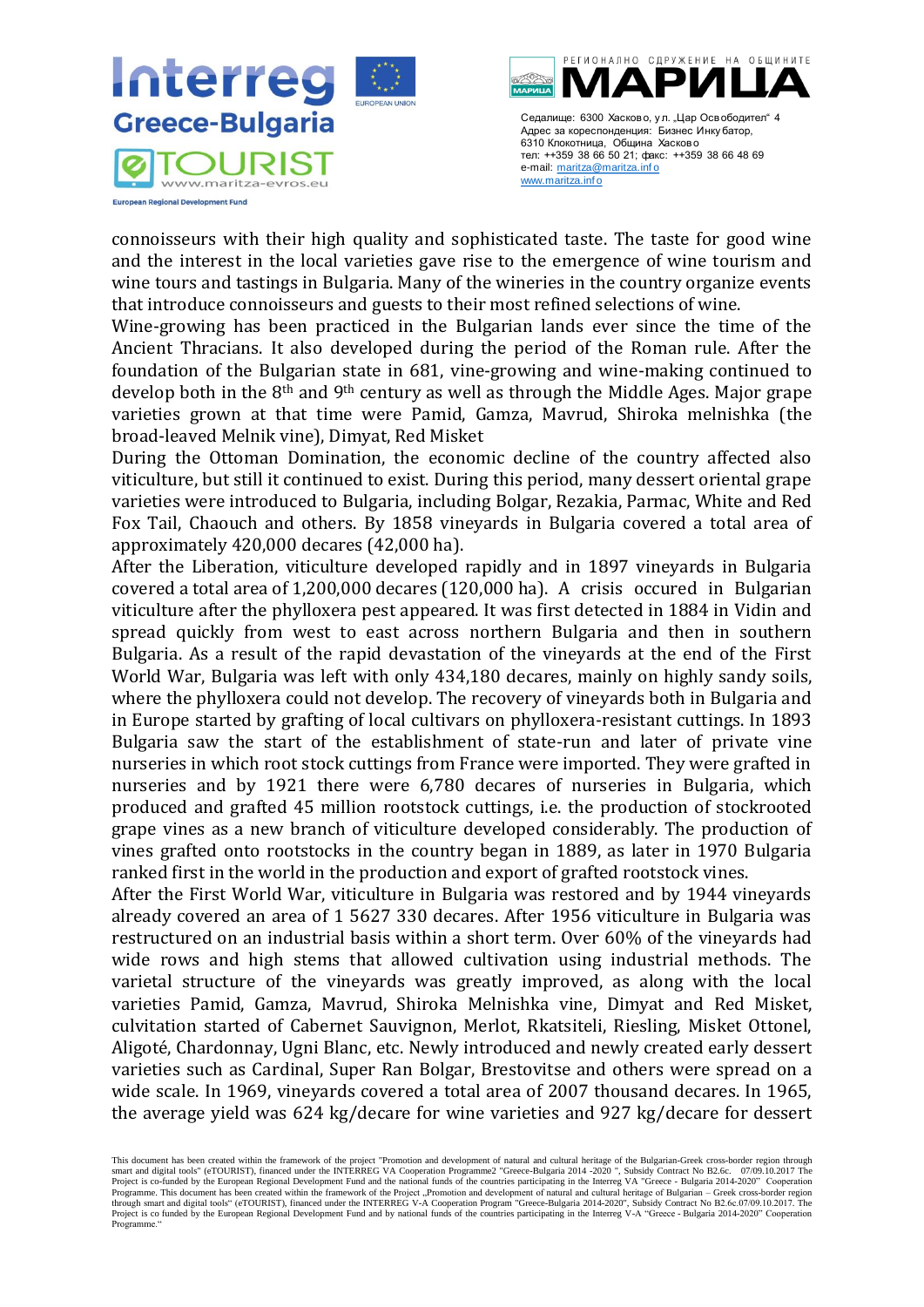



connoisseurs with their high quality and sophisticated taste. The taste for good wine and the interest in the local varieties gave rise to the emergence of wine tourism and wine tours and tastings in Bulgaria. Many of the wineries in the country organize events that introduce connoisseurs and guests to their most refined selections of wine.

Wine-growing has been practiced in the Bulgarian lands ever since the time of the Ancient Thracians. It also developed during the period of the Roman rule. After the foundation of the Bulgarian state in 681, vine-growing and wine-making continued to develop both in the 8<sup>th</sup> and 9<sup>th</sup> century as well as through the Middle Ages. Major grape varieties grown at that time were Pamid, Gamza, Mavrud, Shiroka melnishka (the broad-leaved Melnik vine), Dimyat, Red Misket

During the Ottoman Domination, the economic decline of the country affected also viticulture, but still it continued to exist. During this period, many dessert oriental grape varieties were introduced to Bulgaria, including Bolgar, Rеzakiа, Parmac, White and Red Fox Tail, Chaouch and others. By 1858 vineyards in Bulgaria covered a total area of approximately 420,000 decares (42,000 ha).

After the Liberation, viticulture developed rapidly and in 1897 vineyards in Bulgaria covered a total area of 1,200,000 decares (120,000 ha). A crisis occured in Bulgarian viticulture after the phylloxera pest appeared. It was first detected in 1884 in Vidin and spread quickly from west to east across northern Bulgaria and then in southern Bulgaria. As a result of the rapid devastation of the vineyards at the end of the First World War, Bulgaria was left with only 434,180 decares, mainly on highly sandy soils, where the phylloxera could not develop. The recovery of vineyards both in Bulgaria and in Europe started by grafting of local cultivars on phylloxera-resistant cuttings. In 1893 Bulgaria saw the start of the establishment of state-run and later of private vine nurseries in which root stock cuttings from France were imported. They were grafted in nurseries and by 1921 there were 6,780 decares of nurseries in Bulgaria, which produced and grafted 45 million rootstock cuttings, i.e. the production of stockrooted grape vines as a new branch of viticulture developed considerably. The production of vines grafted onto rootstocks in the country began in 1889, as later in 1970 Bulgaria ranked first in the world in the production and export of grafted rootstock vines.

After the First World War, viticulture in Bulgaria was restored and by 1944 vineyards already covered an area of 1 5627 330 decares. After 1956 viticulture in Bulgaria was restructured on an industrial basis within a short term. Over 60% of the vineyards had wide rows and high stems that allowed cultivation using industrial methods. The varietal structure of the vineyards was greatly improved, as along with the local varieties Pamid, Gamza, Mavrud, Shiroka Melnishka vine, Dimyat and Red Misket, culvitation started of Cabernet Sauvignon, Merlot, Rkatsiteli, Riesling, Misket Ottonel, Aligoté, Chardonnay, Ugni Blanc, etc. Newly introduced and newly created early dessert varieties such as Cardinal, Super Ran Bolgar, Brestovitse and others were spread on a wide scale. In 1969, vineyards covered a total area of 2007 thousand decares. In 1965, the average yield was 624 kg/decare for wine varieties and 927 kg/decare for dessert

This document has been created within the framework of the project "Promotion and development of natural and cultural heritage of the Bulgarian-Greek cross-border region through smart and digital tools" (eTOURIST), financed under the INTERREG VA Cooperation Programme2 "Greece-Bulgaria 2014 -2020 ", Subsidy Contract No B2.6c. 07/09.10.2017 The<br>Project is co-funded by the European Regional Developme Programme. This document has been created within the framework of the Project "Promotion and development of natural and cultural heritage of Bulgarian – Greek cross-border region<br>through smart and digital tools" (eTOURIST) Project is co funded by the European Regional Development Fund and by national funds of the countries participating in the Interreg V-A "Greece - Bulgaria 2014-2020" Cooperation Programme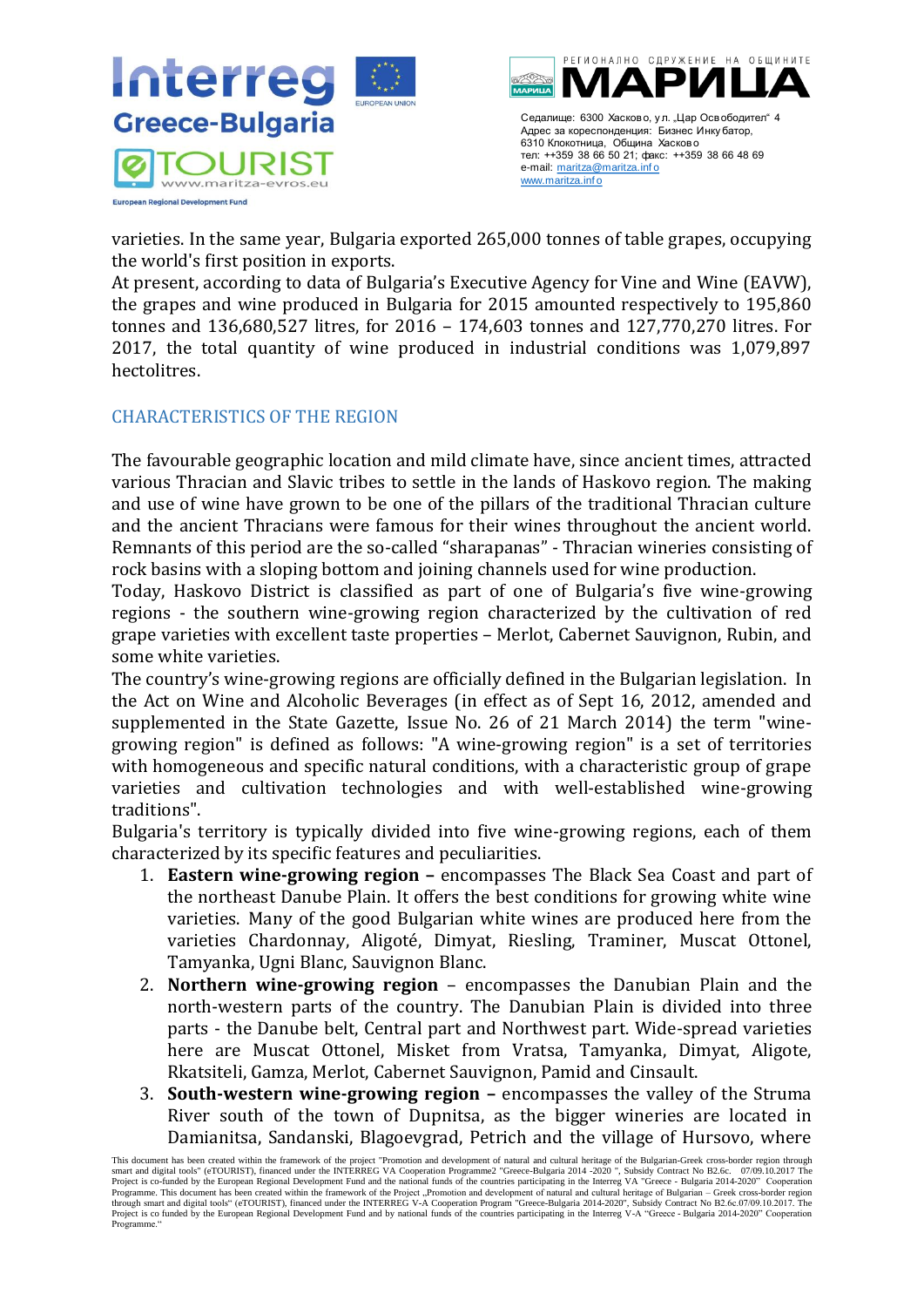



varieties. In the same year, Bulgaria exported 265,000 tonnes of table grapes, occupying the world's first position in exports.

At present, according to data of Bulgaria's Executive Agency for Vine and Wine (EAVW), the grapes and wine produced in Bulgaria for 2015 amounted respectively to 195,860 tonnes and 136,680,527 litres, for 2016 – 174,603 tonnes and 127,770,270 litres. For 2017, the total quantity of wine produced in industrial conditions was 1,079,897 hectolitres.

## <span id="page-19-0"></span>CHARACTERISTICS OF THE REGION

The favourable geographic location and mild climate have, since ancient times, attracted various Thracian and Slavic tribes to settle in the lands of Haskovo region. The making and use of wine have grown to be one of the pillars of the traditional Thracian culture and the ancient Thracians were famous for their wines throughout the ancient world. Remnants of this period are the so-called "sharapanas" - Thracian wineries consisting of rock basins with a sloping bottom and joining channels used for wine production.

Today, Haskovo District is classified as part of one of Bulgaria's five wine-growing regions - the southern wine-growing region characterized by the cultivation of red grape varieties with excellent taste properties – Merlot, Cabernet Sauvignon, Rubin, and some white varieties.

The country's wine-growing regions are officially defined in the Bulgarian legislation. In the Act on Wine and Alcoholic Beverages (in effect as of Sept 16, 2012, amended and supplemented in the State Gazette, Issue No. 26 of 21 March 2014) the term "winegrowing region" is defined as follows: "A wine-growing region" is a set of territories with homogeneous and specific natural conditions, with a characteristic group of grape varieties and cultivation technologies and with well-established wine-growing traditions".

Bulgaria's territory is typically divided into five wine-growing regions, each of them characterized by its specific features and peculiarities.

- 1. **Eastern wine-growing region –** encompasses The Black Sea Coast and part of the northeast Danube Plain. It offers the best conditions for growing white wine varieties. Many of the good Bulgarian white wines are produced here from the varieties Chardonnay, Aligoté, Dimyat, Riesling, Traminer, Muscat Ottonel, Tamyanka, Ugni Blanc, Sauvignon Blanc.
- 2. **Northern wine-growing region** encompasses the Danubian Plain and the north-western parts of the country. The Danubian Plain is divided into three parts - the Danube belt, Central part and Northwest part. Wide-spread varieties here are Muscat Ottonel, Misket from Vratsa, Tamyanka, Dimyat, Aligote, Rkatsiteli, Gamza, Merlot, Cabernet Sauvignon, Pamid and Cinsault.
- 3. **South-western wine-growing region –** encompasses the valley of the Struma River south of the town of Dupnitsa, as the bigger wineries are located in Damianitsa, Sandanski, Blagoevgrad, Petrich and the village of Hursovo, where

This document has been created within the framework of the project "Promotion and development of natural and cultural heritage of the Bulgarian-Greek cross-border region through smart and digital tools" (eTOURIST), financed under the INTERREG VA Cooperation Programme2 "Greece-Bulgaria 2014 -2020 ", Subsidy Contract No B2.6c. 07/09.10.2017 The<br>Project is co-funded by the European Regional Developme Programme. This document has been created within the framework of the Project "Promotion and development of natural and cultural heritage of Bulgarian – Greek cross-border region<br>through smart and digital tools" (eTOURIST) Project is co funded by the European Regional Development Fund and by national funds of the countries participating in the Interreg V-A "Greece - Bulgaria 2014-2020" Cooperation Programme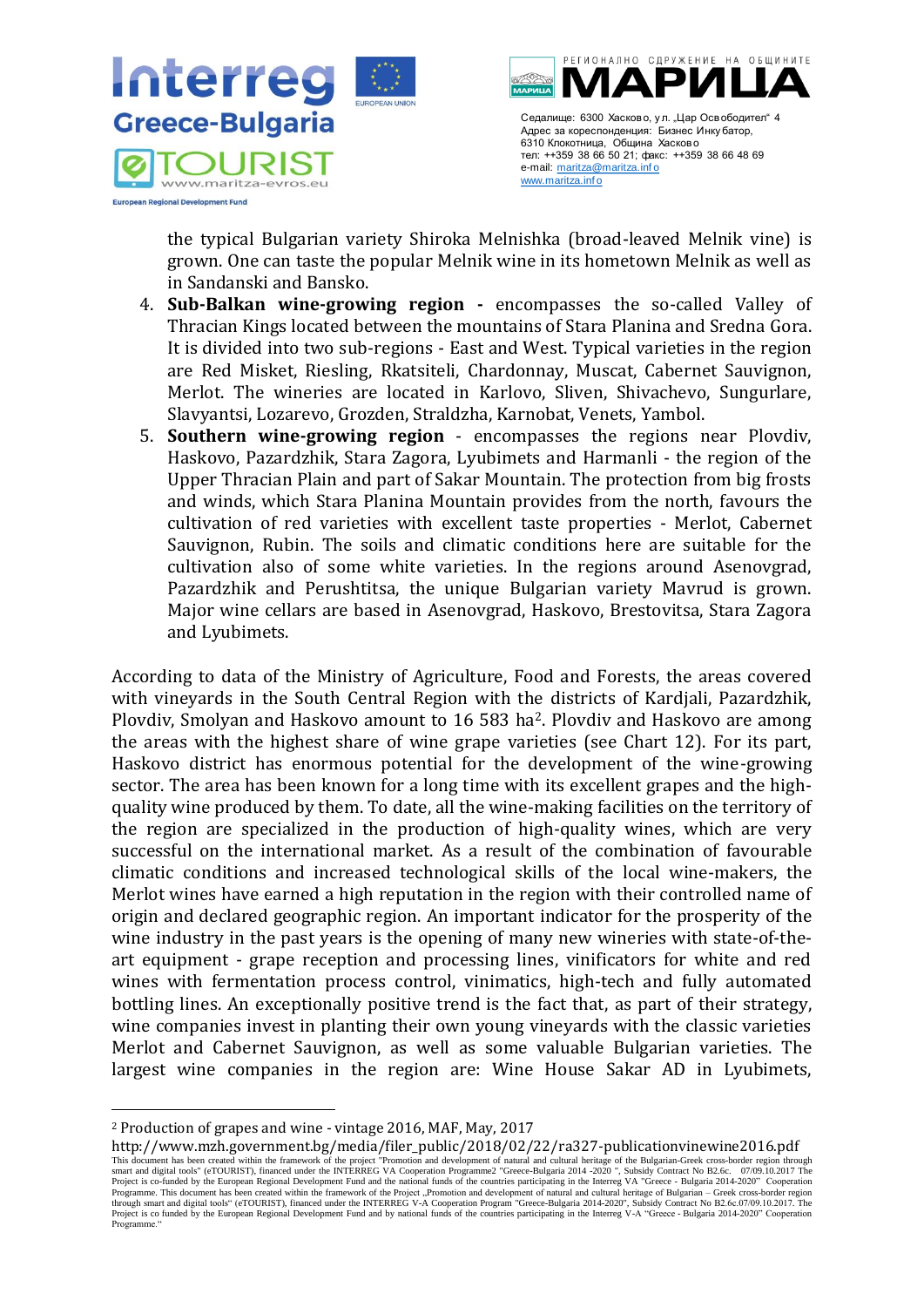



the typical Bulgarian variety Shiroka Melnishka (broad-leaved Melnik vine) is grown. One can taste the popular Melnik wine in its hometown Melnik as well as in Sandanski and Bansko.

- 4. **Sub-Balkan wine-growing region -** encompasses the so-called Valley of Thracian Kings located between the mountains of Stara Planina and Sredna Gora. It is divided into two sub-regions - East and West. Typical varieties in the region are Red Misket, Riesling, Rkatsiteli, Chardonnay, Muscat, Cabernet Sauvignon, Merlot. The wineries are located in Karlovo, Sliven, Shivachevo, Sungurlare, Slavyantsi, Lozarevo, Grozden, Straldzha, Karnobat, Venets, Yambol.
- 5. **Southern wine-growing region** encompasses the regions near Plovdiv, Haskovo, Pazardzhik, Stara Zagora, Lyubimets and Harmanli - the region of the Upper Thracian Plain and part of Sakar Mountain. The protection from big frosts and winds, which Stara Planina Mountain provides from the north, favours the cultivation of red varieties with excellent taste properties - Merlot, Cabernet Sauvignon, Rubin. The soils and climatic conditions here are suitable for the cultivation also of some white varieties. In the regions around Asenovgrad, Pazardzhik and Perushtitsa, the unique Bulgarian variety Mavrud is grown. Major wine cellars are based in Asenovgrad, Haskovo, Brestovitsa, Stara Zagora and Lyubimets.

According to data of the Ministry of Agriculture, Food and Forests, the areas covered with vineyards in the South Central Region with the districts of Kardjali, Pazardzhik, Plovdiv, Smolyan and Haskovo amount to 16 583 ha2. Plovdiv and Haskovo are among the areas with the highest share of wine grape varieties (see Chart 12). For its part, Haskovo district has enormous potential for the development of the wine-growing sector. The area has been known for a long time with its excellent grapes and the highquality wine produced by them. To date, all the wine-making facilities on the territory of the region are specialized in the production of high-quality wines, which are very successful on the international market. As a result of the combination of favourable climatic conditions and increased technological skills of the local wine-makers, the Merlot wines have earned a high reputation in the region with their controlled name of origin and declared geographic region. An important indicator for the prosperity of the wine industry in the past years is the opening of many new wineries with state-of-theart equipment - grape reception and processing lines, vinificators for white and red wines with fermentation process control, vinimatics, high-tech and fully automated bottling lines. An exceptionally positive trend is the fact that, as part of their strategy, wine companies invest in planting their own young vineyards with the classic varieties Merlot and Cabernet Sauvignon, as well as some valuable Bulgarian varieties. The largest wine companies in the region are: Wine House Sakar AD in Lyubimets,

This document has been created within the framework of the project "Promotion and development of natural and cultural heritage of the Bulgarian-Greek cross-border region through<br>smart and digital tools" (eTOURIST), finance Programme. This document has been created within the framework of the Project "Promotion and development of natural and cultural heritage of Bulgarian – Greek cross-border region<br>through smart and digital tools" (eTOURIST) Project is co funded by the European Regional Development Fund and by national funds of the countries participating in the Interreg V-A "Greece - Bulgaria 2014-2020" Cooperation Programme http://www.mzh.government.bg/media/filer\_public/2018/02/22/ra327-publicationvinewine2016.pdf

<sup>2</sup> Production of grapes and wine - vintage 2016, MAF, May, 2017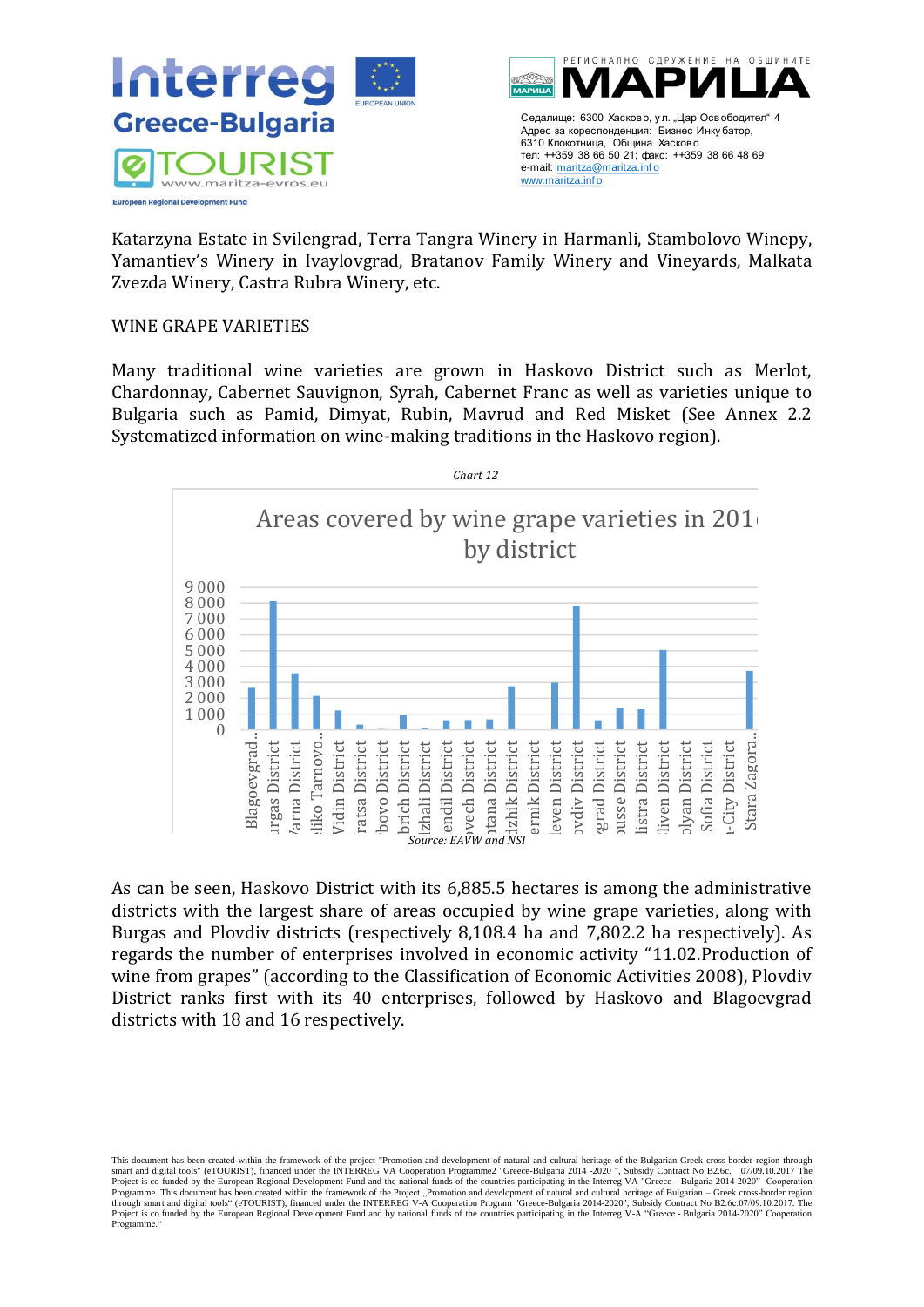



Katarzyna Еstate in Svilengrad, Terra Tangra Winery in Harmanli, Stambolovo Wineрy, Yamantiev's Winery in Ivaylovgrad, Bratanov Family Winery and Vineyards, Malkata Zvezda Winery, Castra Rubra Winery, etc.

### WINE GRAPE VARIETIES

Many traditional wine varieties are grown in Haskovo District such as Merlot, Chardonnay, Cabernet Sauvignon, Syrah, Cabernet Franc as well as varieties unique to Bulgaria such as Pamid, Dimyat, Rubin, Mavrud and Red Misket (See Annex 2.2 Systematized information on wine-making traditions in the Haskovo region).



As can be seen, Haskovo District with its 6,885.5 hectares is among the administrative districts with the largest share of areas occupied by wine grape varieties, along with Burgas and Plovdiv districts (respectively 8,108.4 ha and 7,802.2 ha respectively). As regards the number of enterprises involved in economic activity "11.02.Production of wine from grapes" (according to the Classification of Economic Activities 2008), Plovdiv District ranks first with its 40 enterprises, followed by Haskovo and Blagoevgrad districts with 18 and 16 respectively.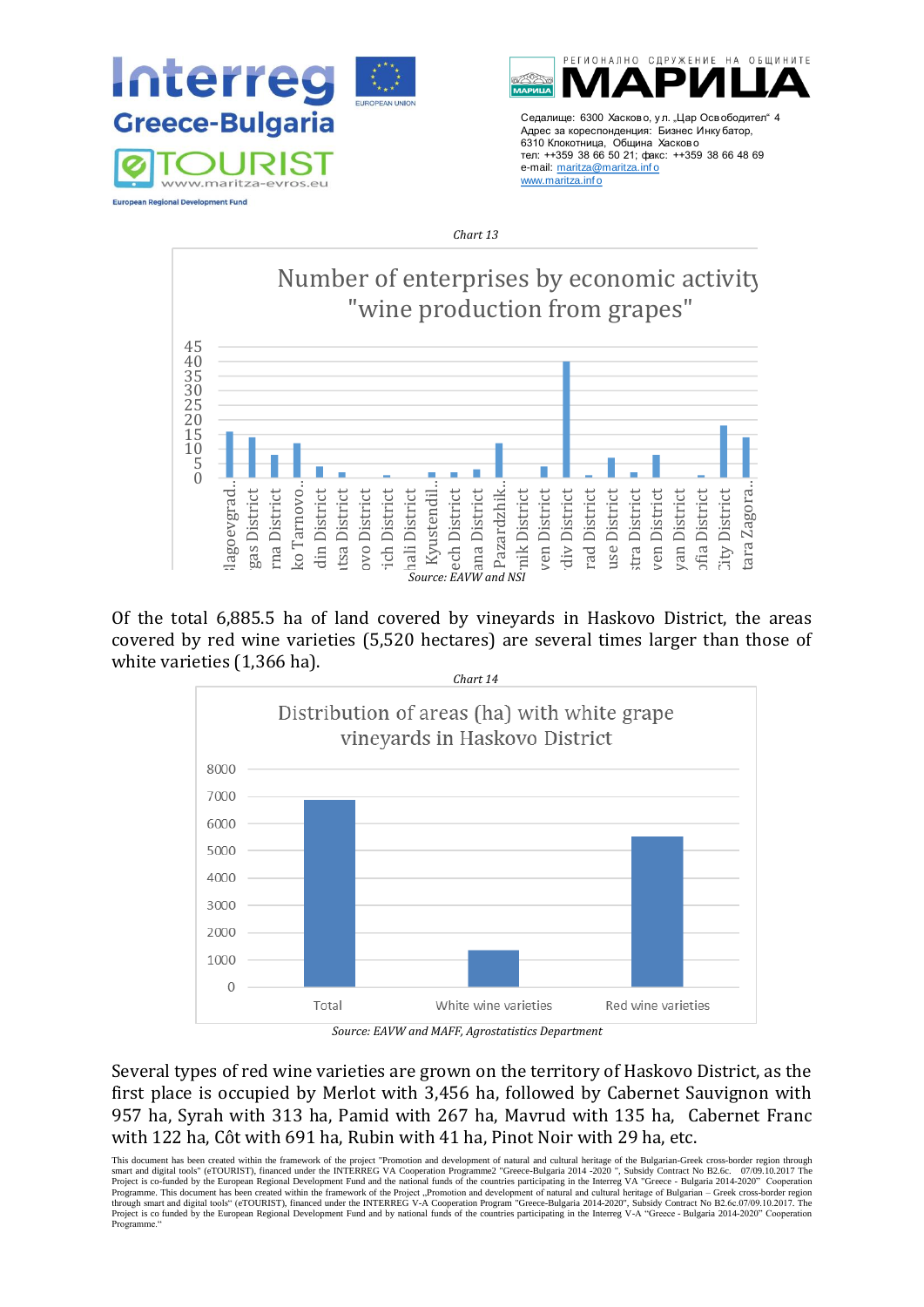



*Chart 13*



Of the total 6,885.5 ha of land covered by vineyards in Haskovo District, the areas covered by red wine varieties (5,520 hectares) are several times larger than those of white varieties (1,366 ha).



*Source: EAVW and MAFF, Agrostatistics Department*

Several types of red wine varieties are grown on the territory of Haskovo District, as the first place is occupied by Merlot with 3,456 ha, followed by Cabernet Sauvignon with 957 ha, Syrah with 313 ha, Pamid with 267 ha, Mavrud with 135 ha, Cabernet Franc with 122 ha, Côt with 691 ha, Rubin with 41 ha, Pinot Noir with 29 ha, etc.

This document has been created within the framework of the project "Promotion and development of natural and cultural heritage of the Bulgarian-Greek cross-border region through smart and digital tools" (eTOURIST), financed under the INTERREG VA Cooperation Programme2 "Greece-Bulgaria 2014 -2020 ", Subsidy Contract No B2.6c. 07/09.10.2017 The<br>Project is co-funded by the European Regional Developme Project is co funded by the European Regional Development Fund and by national funds of the countries participating in the Interreg V-A "Greece - Bulgaria 2014-2020" Cooperation Programm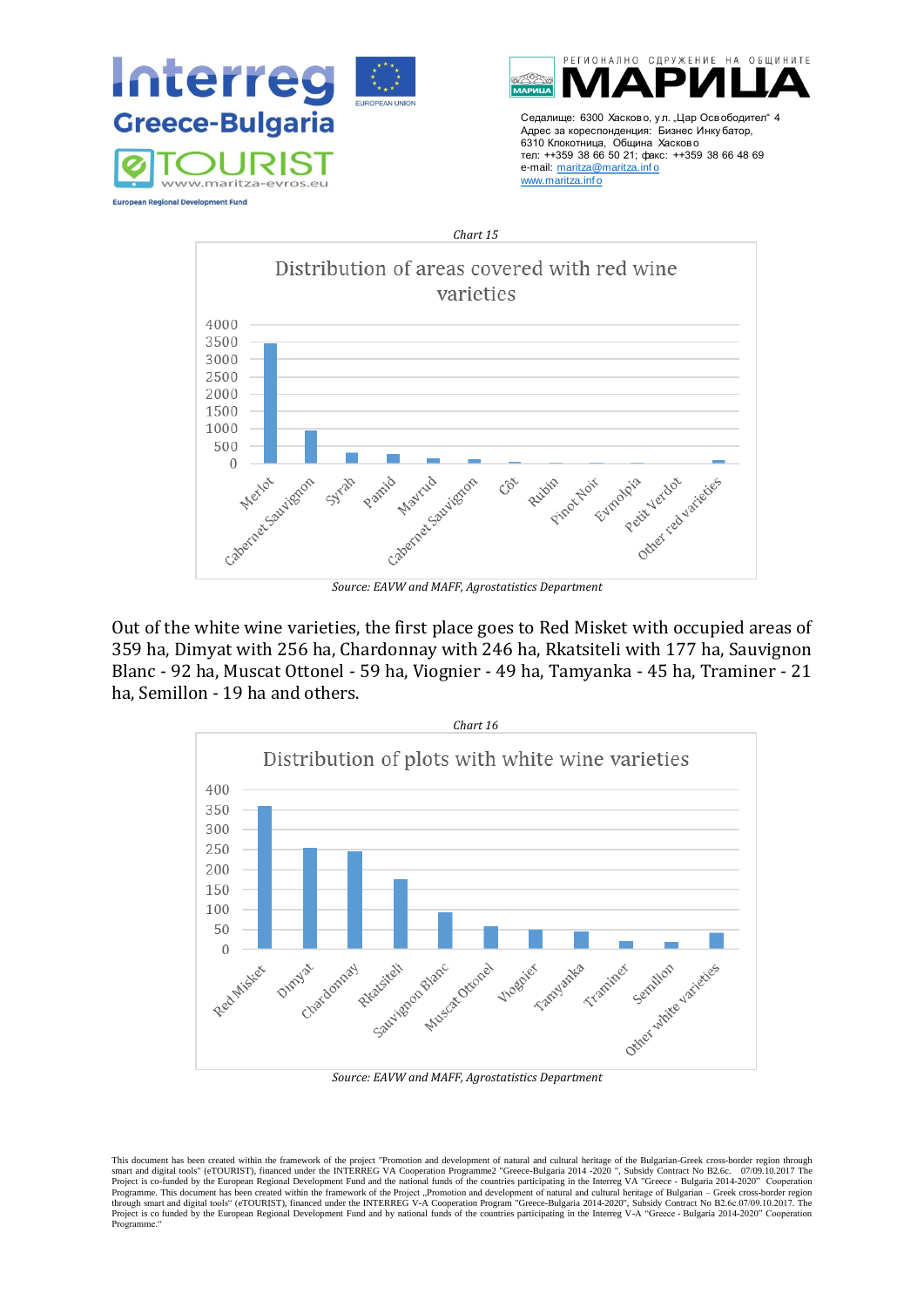





*Source: EAVW and MAFF, Agrostatistics Department*

Out of the white wine varieties, the first place goes to Red Misket with occupied areas of 359 ha, Dimyat with 256 ha, Chardonnay with 246 ha, Rkatsiteli with 177 ha, Sauvignon Blanc - 92 ha, Muscat Ottonel - 59 ha, Viognier - 49 ha, Tamyanka - 45 ha, Traminer - 21 ha, Semillon - 19 ha and others.



*Source: EAVW and MAFF, Agrostatistics Department*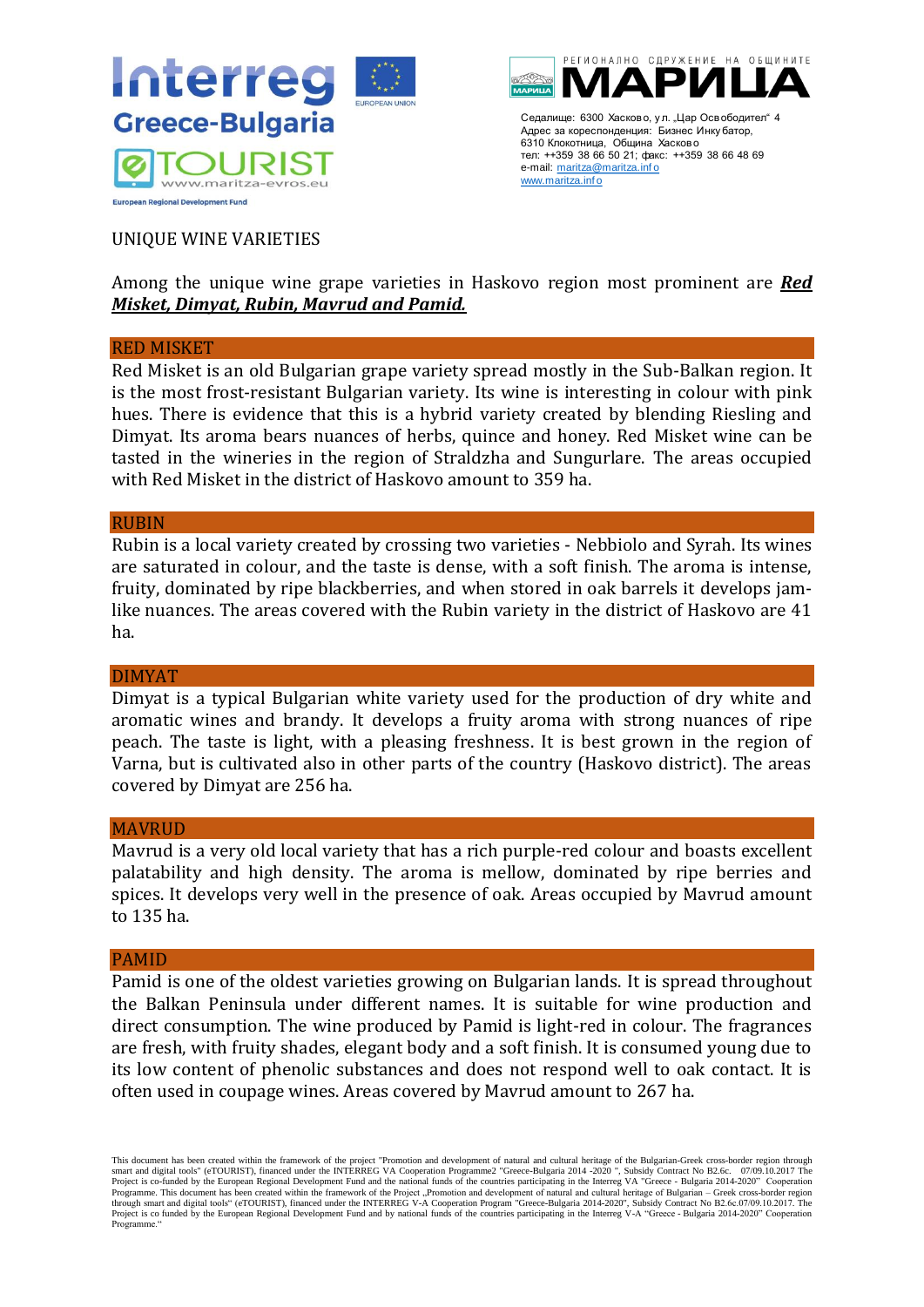



### UNIQUE WINE VARIETIES

## Among the unique wine grape varieties in Haskovo region most prominent are *Red Misket, Dimyat, Rubin, Mavrud and Pamid.*

#### RED MISKET

Red Misket is an old Bulgarian grape variety spread mostly in the Sub-Balkan region. It is the most frost-resistant Bulgarian variety. Its wine is interesting in colour with pink hues. There is evidence that this is a hybrid variety created by blending Riesling and Dimyat. Its aroma bears nuances of herbs, quince and honey. Red Misket wine can be tasted in the wineries in the region of Straldzha and Sungurlare. The areas occupied with Red Misket in the district of Haskovo amount to 359 ha.

#### RUBIN

Rubin is a local variety created by crossing two varieties - Nebbiolo and Syrah. Its wines are saturated in colour, and the taste is dense, with a soft finish. The aroma is intense, fruity, dominated by ripe blackberries, and when stored in oak barrels it develops jamlike nuances. The areas covered with the Rubin variety in the district of Haskovo are 41 ha.

#### DIMYAT

Dimyat is a typical Bulgarian white variety used for the production of dry white and aromatic wines and brandy. It develops a fruity aroma with strong nuances of ripe peach. The taste is light, with a pleasing freshness. It is best grown in the region of Varna, but is cultivated also in other parts of the country (Haskovo district). The areas covered by Dimyat are 256 ha.

#### **MAVRUD**

Mavrud is a very old local variety that has a rich purple-red colour and boasts excellent palatability and high density. The aroma is mellow, dominated by ripe berries and spices. It develops very well in the presence of oak. Areas occupied by Mavrud amount to 135 ha.

#### PAMID

Pamid is one of the oldest varieties growing on Bulgarian lands. It is spread throughout the Balkan Peninsula under different names. It is suitable for wine production and direct consumption. The wine produced by Pamid is light-red in colour. The fragrances are fresh, with fruity shades, elegant body and a soft finish. It is consumed young due to its low content of phenolic substances and does not respond well to oak contact. It is often used in coupage wines. Areas covered by Mavrud amount to 267 ha.

This document has been created within the framework of the project "Promotion and development of natural and cultural heritage of the Bulgarian-Greek cross-border region through smart and digital tools" (eTOURIST), financed under the INTERREG VA Cooperation Programme2 "Greece-Bulgaria 2014 -2020 ", Subsidy Contract No B2.6c. 07/09.10.2017 The<br>Project is co-funded by the European Regional Developme Programme. This document has been created within the framework of the Project "Promotion and development of natural and cultural heritage of Bulgarian – Greek cross-border region<br>through smart and digital tools" (eTOURIST) Project is co funded by the European Regional Development Fund and by national funds of the countries participating in the Interreg V-A "Greece - Bulgaria 2014-2020" Cooperation Programme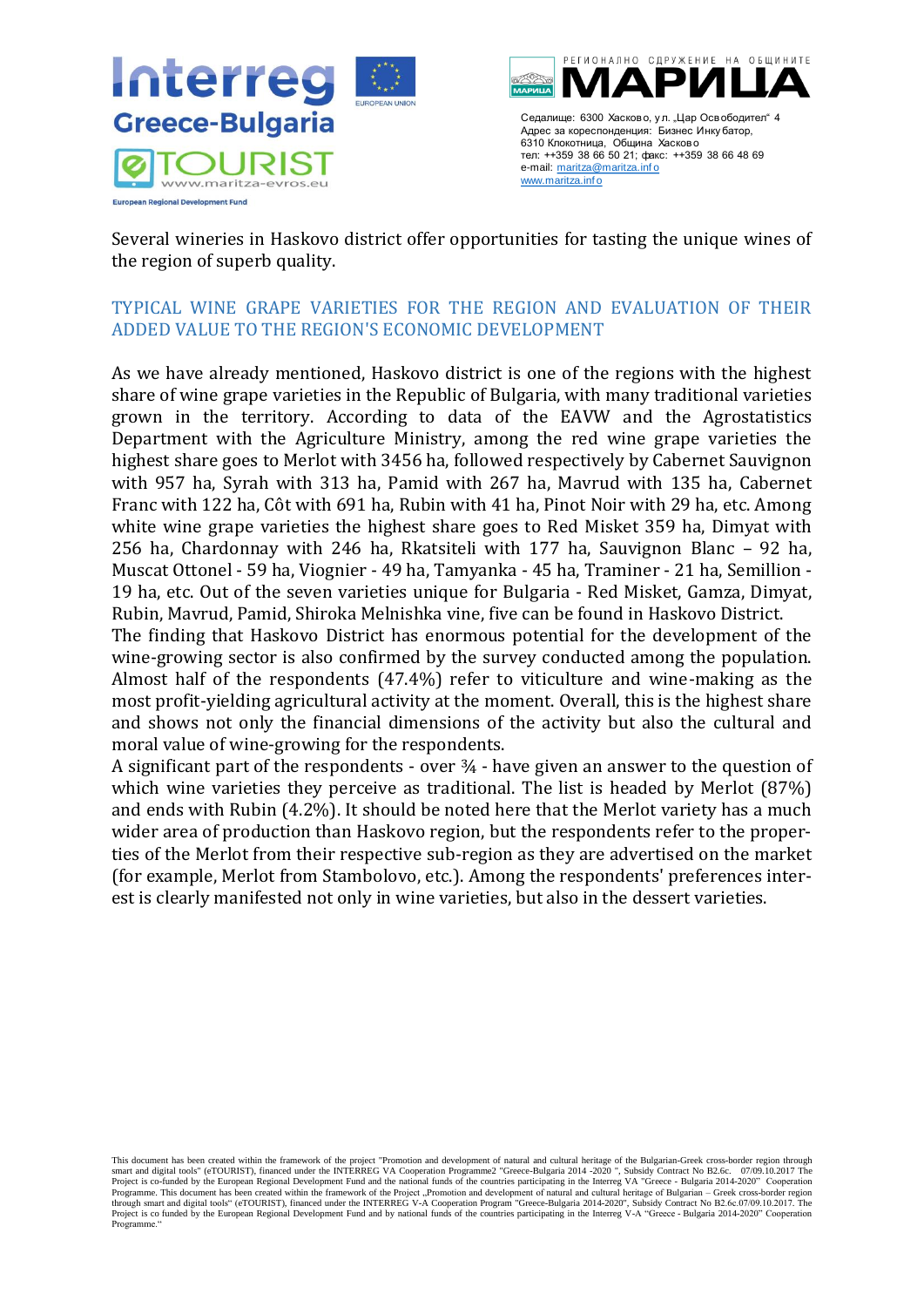



Several wineries in Haskovo district offer opportunities for tasting the unique wines of the region of superb quality.

## <span id="page-25-0"></span>TYPICAL WINE GRAPE VARIETIES FOR THE REGION AND EVALUATION OF THEIR ADDED VALUE TO THE REGION'S ECONOMIC DEVELOPMENT

As we have already mentioned, Haskovo district is one of the regions with the highest share of wine grape varieties in the Republic of Bulgaria, with many traditional varieties grown in the territory. According to data of the EAVW and the Agrostatistics Department with the Agriculture Ministry, among the red wine grape varieties the highest share goes to Merlot with 3456 ha, followed respectively by Cabernet Sauvignon with 957 ha, Syrah with 313 ha, Pamid with 267 ha, Mavrud with 135 ha, Cabernet Franc with 122 ha, Côt with 691 ha, Rubin with 41 ha, Pinot Noir with 29 ha, etc. Among white wine grape varieties the highest share goes to Red Misket 359 ha, Dimyat with 256 ha, Chardonnay with 246 ha, Rkatsiteli with 177 ha, Sauvignon Blanc – 92 ha, Muscat Ottonel - 59 ha, Viognier - 49 ha, Tamyanka - 45 ha, Traminer - 21 ha, Semillion - 19 ha, etc. Out of the seven varieties unique for Bulgaria - Red Misket, Gamza, Dimyat, Rubin, Mavrud, Pamid, Shiroka Melnishka vine, five can be found in Haskovo District.

The finding that Haskovo District has enormous potential for the development of the wine-growing sector is also confirmed by the survey conducted among the population. Almost half of the respondents (47.4%) refer to viticulture and wine-making as the most profit-yielding agricultural activity at the moment. Overall, this is the highest share and shows not only the financial dimensions of the activity but also the cultural and moral value of wine-growing for the respondents.

A significant part of the respondents - over ¾ - have given an answer to the question of which wine varieties they perceive as traditional. The list is headed by Merlot (87%) and ends with Rubin (4.2%). It should be noted here that the Merlot variety has a much wider area of production than Haskovo region, but the respondents refer to the properties of the Merlot from their respective sub-region as they are advertised on the market (for example, Merlot from Stambolovo, etc.). Among the respondents' preferences interest is clearly manifested not only in wine varieties, but also in the dessert varieties.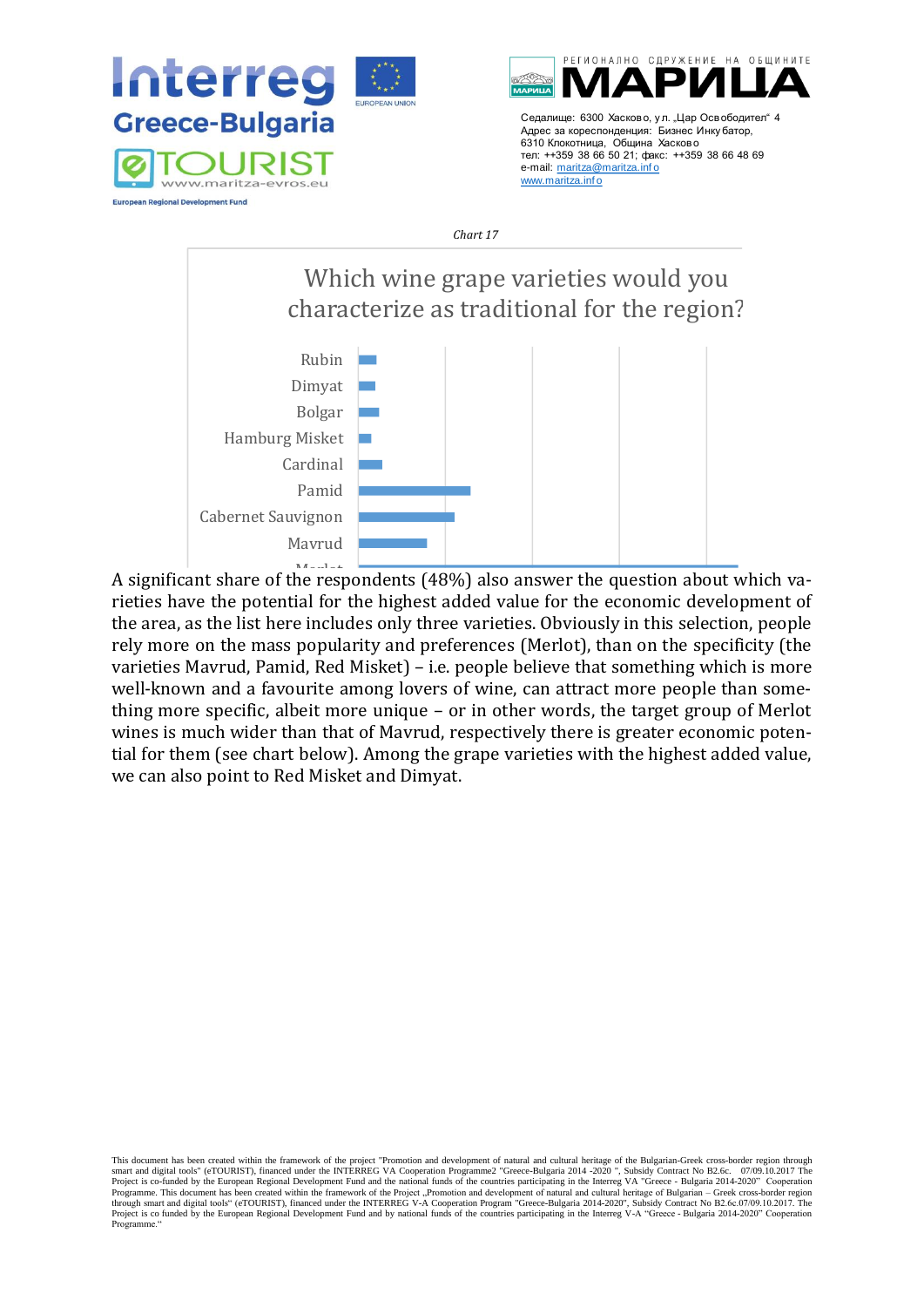



e-mail: maritza@maritza.info

www.maritza.inf o

#### *Chart 17*



rieties have the potential for the highest added value for the economic development of A significant share of the respondents (48%) also answer the question about which vathe area, as the list here includes only three varieties. Obviously in this selection, people rely more on the mass popularity and preferences (Merlot), than on the specificity (the varieties Mavrud, Pamid, Red Misket) – i.e. people believe that something which is more well-known and a favourite among lovers of wine, can attract more people than something more specific, albeit more unique – or in other words, the target group of Merlot wines is much wider than that of Mavrud, respectively there is greater economic potential for them (see chart below). Among the grape varieties with the highest added value, we can also point to Red Misket and Dimyat.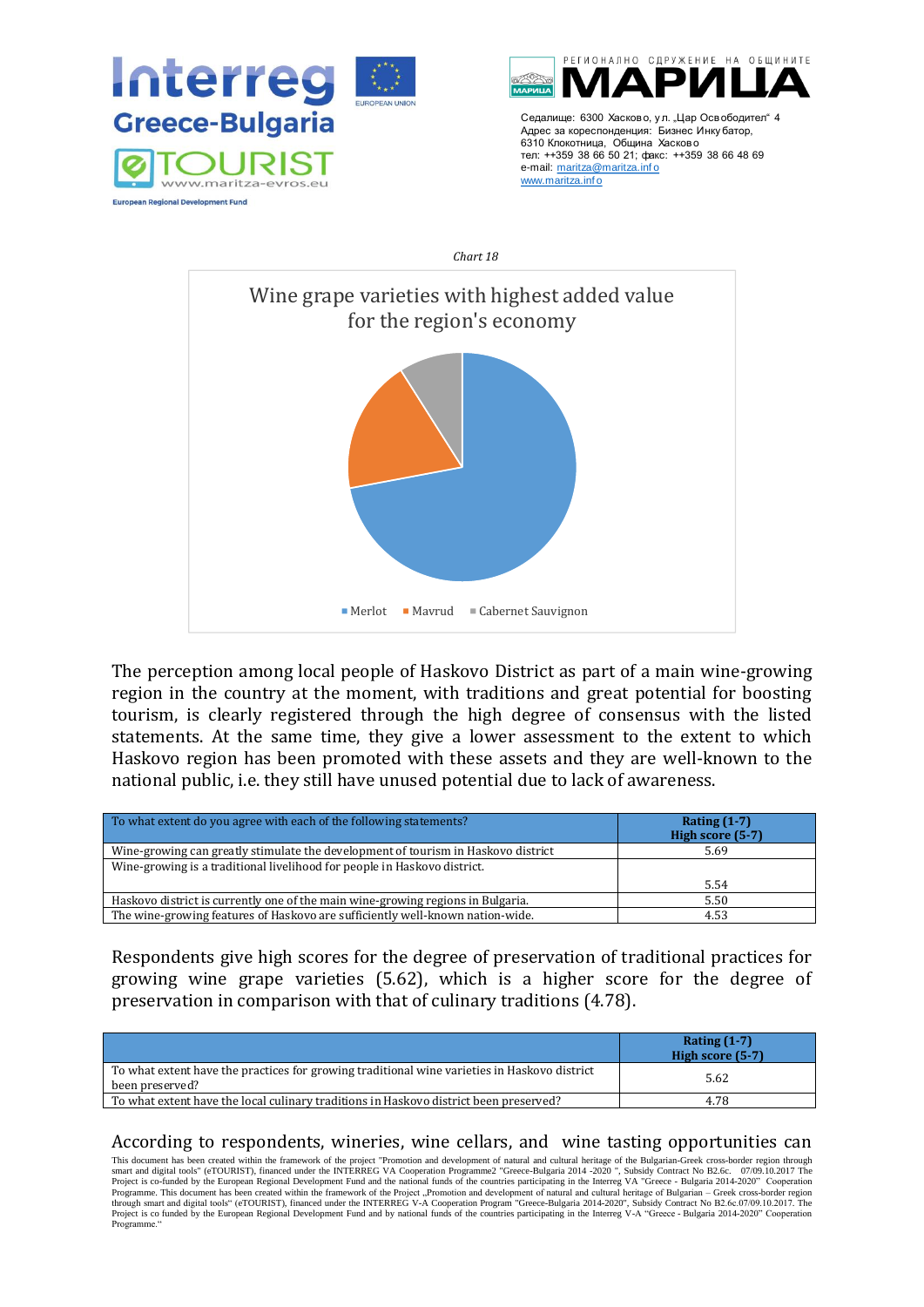





The perception among local people of Haskovo District as part of a main wine-growing region in the country at the moment, with traditions and great potential for boosting tourism, is clearly registered through the high degree of consensus with the listed statements. At the same time, they give a lower assessment to the extent to which Haskovo region has been promoted with these assets and they are well-known to the national public, i.e. they still have unused potential due to lack of awareness.

| To what extent do you agree with each of the following statements?                | Rating $(1-7)$<br>High score (5-7) |
|-----------------------------------------------------------------------------------|------------------------------------|
| Wine-growing can greatly stimulate the development of tourism in Haskovo district | 5.69                               |
| Wine-growing is a traditional livelihood for people in Haskovo district.          |                                    |
|                                                                                   | 5.54                               |
| Haskovo district is currently one of the main wine-growing regions in Bulgaria.   | 5.50                               |
| The wine-growing features of Haskovo are sufficiently well-known nation-wide.     | 4.53                               |

Respondents give high scores for the degree of preservation of traditional practices for growing wine grape varieties (5.62), which is a higher score for the degree of preservation in comparison with that of culinary traditions (4.78).

|                                                                                                                 | Rating $(1-7)$<br>High score (5-7) |
|-----------------------------------------------------------------------------------------------------------------|------------------------------------|
| To what extent have the practices for growing traditional wine varieties in Haskovo district<br>been preserved? | 5.62                               |
| To what extent have the local culinary traditions in Haskovo district been preserved?                           | 4.78                               |

#### According to respondents, wineries, wine cellars, and wine tasting opportunities can

This document has been created within the framework of the project "Promotion and development of natural and cultural heritage of the Bulgarian-Greek cross-border region through smart and digital tools" (eTOURIST), finance Project is co funded by the European Regional Development Fund and by national funds of the countries participating in the Interreg V-A "Greece - Bulgaria 2014-2020" Cooperation Programme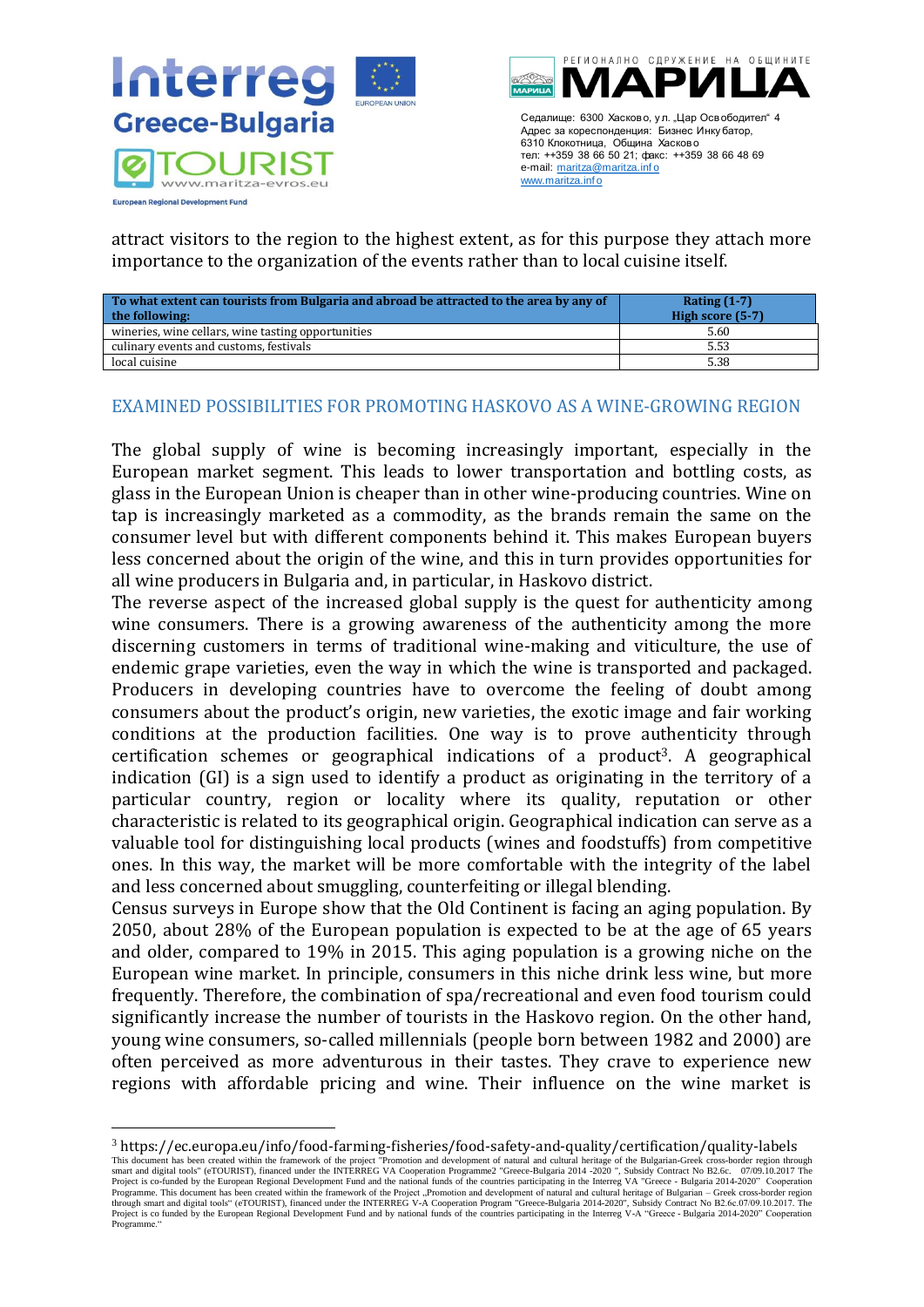



attract visitors to the region to the highest extent, as for this purpose they attach more importance to the organization of the events rather than to local cuisine itself.

| To what extent can tourists from Bulgaria and abroad be attracted to the area by any of<br>the following: | Rating $(1-7)$<br>High score (5-7) |
|-----------------------------------------------------------------------------------------------------------|------------------------------------|
| wineries, wine cellars, wine tasting opportunities                                                        | 5.60                               |
| culinary events and customs, festivals                                                                    | 5.53                               |
| local cuisine                                                                                             | 5.38                               |

### <span id="page-28-0"></span>EXAMINED POSSIBILITIES FOR PROMOTING HASKOVO AS A WINE-GROWING REGION

The global supply of wine is becoming increasingly important, especially in the European market segment. This leads to lower transportation and bottling costs, as glass in the European Union is cheaper than in other wine-producing countries. Wine on tap is increasingly marketed as a commodity, as the brands remain the same on the consumer level but with different components behind it. This makes European buyers less concerned about the origin of the wine, and this in turn provides opportunities for all wine producers in Bulgaria and, in particular, in Haskovo district.

The reverse aspect of the increased global supply is the quest for authenticity among wine consumers. There is a growing awareness of the authenticity among the more discerning customers in terms of traditional wine-making and viticulture, the use of endemic grape varieties, even the way in which the wine is transported and packaged. Producers in developing countries have to overcome the feeling of doubt among consumers about the product's origin, new varieties, the exotic image and fair working conditions at the production facilities. One way is to prove authenticity through certification schemes or geographical indications of a product<sup>3</sup>. A geographical indication (GI) is a sign used to identify a product as originating in the territory of a particular country, region or locality where its quality, reputation or other characteristic is related to its geographical origin. Geographical indication can serve as a valuable tool for distinguishing local products (wines and foodstuffs) from competitive ones. In this way, the market will be more comfortable with the integrity of the label and less concerned about smuggling, counterfeiting or illegal blending.

Census surveys in Europe show that the Old Continent is facing an aging population. By 2050, about 28% of the European population is expected to be at the age of 65 years and older, compared to 19% in 2015. This aging population is a growing niche on the European wine market. In principle, consumers in this niche drink less wine, but more frequently. Therefore, the combination of spa/recreational and even food tourism could significantly increase the number of tourists in the Haskovo region. On the other hand, young wine consumers, so-called millennials (people born between 1982 and 2000) are often perceived as more adventurous in their tastes. They crave to experience new regions with affordable pricing and wine. Their influence on the wine market is

<sup>3</sup> https://ec.europa.eu/info/food-farming-fisheries/food-safety-and-quality/certification/quality-labels

This document has been created within the framework of the project "Promotion and development of natural and cultural heritage of the Bulgarian-Greek cross-border region through<br>smart and digital tools" (eTOURIST), finance Programme. This document has been created within the framework of the Project "Promotion and development of natural and cultural heritage of Bulgarian – Greek cross-border region<br>through smart and digital tools" (eTOURIST) Project is co funded by the European Regional Development Fund and by national funds of the countries participating in the Interreg V-A "Greece - Bulgaria 2014-2020" Cooperation Programme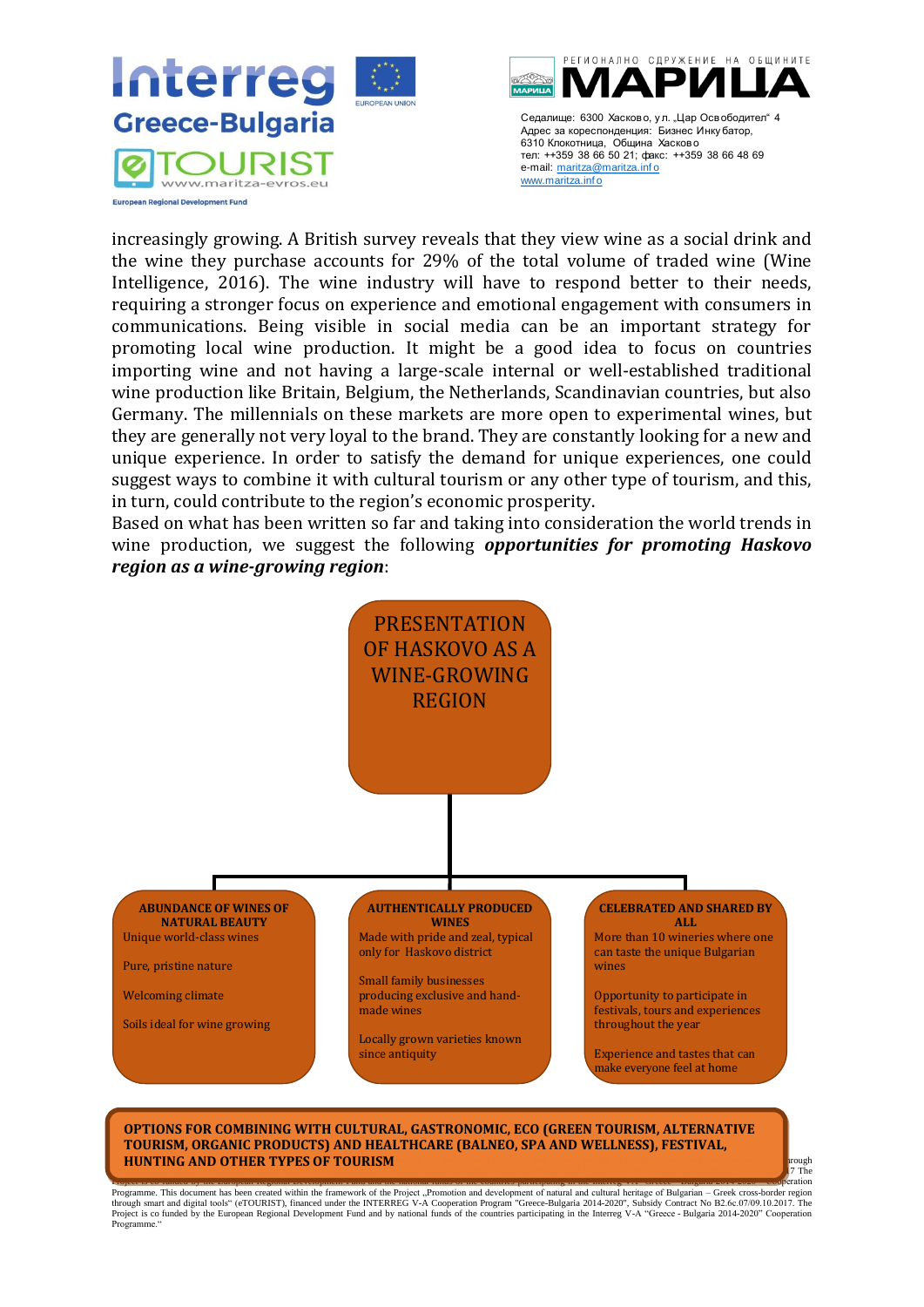



increasingly growing. A British survey reveals that they view wine as a social drink and the wine they purchase accounts for 29% of the total volume of traded wine (Wine Intelligence, 2016). The wine industry will have to respond better to their needs, requiring a stronger focus on experience and emotional engagement with consumers in communications. Being visible in social media can be an important strategy for promoting local wine production. It might be a good idea to focus on countries importing wine and not having a large-scale internal or well-established traditional wine production like Britain, Belgium, the Netherlands, Scandinavian countries, but also Germany. The millennials on these markets are more open to experimental wines, but they are generally not very loyal to the brand. They are constantly looking for a new and unique experience. In order to satisfy the demand for unique experiences, one could suggest ways to combine it with cultural tourism or any other type of tourism, and this, in turn, could contribute to the region's economic prosperity.

Based on what has been written so far and taking into consideration the world trends in wine production, we suggest the following *opportunities for promoting Haskovo region as a wine-growing region*:



#### **This document has been created within the project "Project "Project "Project "Project "Project "Project cross-border region through and cultural heritage of the Bulgarian-Greek cross-border region through and cross-border** smart and digital tools  $\mathcal{L}$  (eTOURIST), financed under the INTERREG VA Cooperation  $\mathcal{L}$  and  $\mathcal{L}$ . The INTERREG VA Cooperation  $\mathcal{L}$ **OPTIONS FOR COMBINING WITH CULTURAL, GASTRONOMIC, ECO (GREEN TOURISM, ALTERNATIVE TOURISM, ORGANIC PRODUCTS) AND HEALTHCARE (BALNEO, SPA AND WELLNESS), FESTIVAL,**

Progressive Comparison in this been created within the framework of the Projector Party and Comparison and the meaning in the meaning in the meaning of Bulgaria – 0.000–0.000 comparison in the framework of the Projector of Project is co funded by the European Regional Development Fund and by national funds of the countries participating in the Interreg V-A "Greece - Bulgaria 2014-2020" Cooperation Programme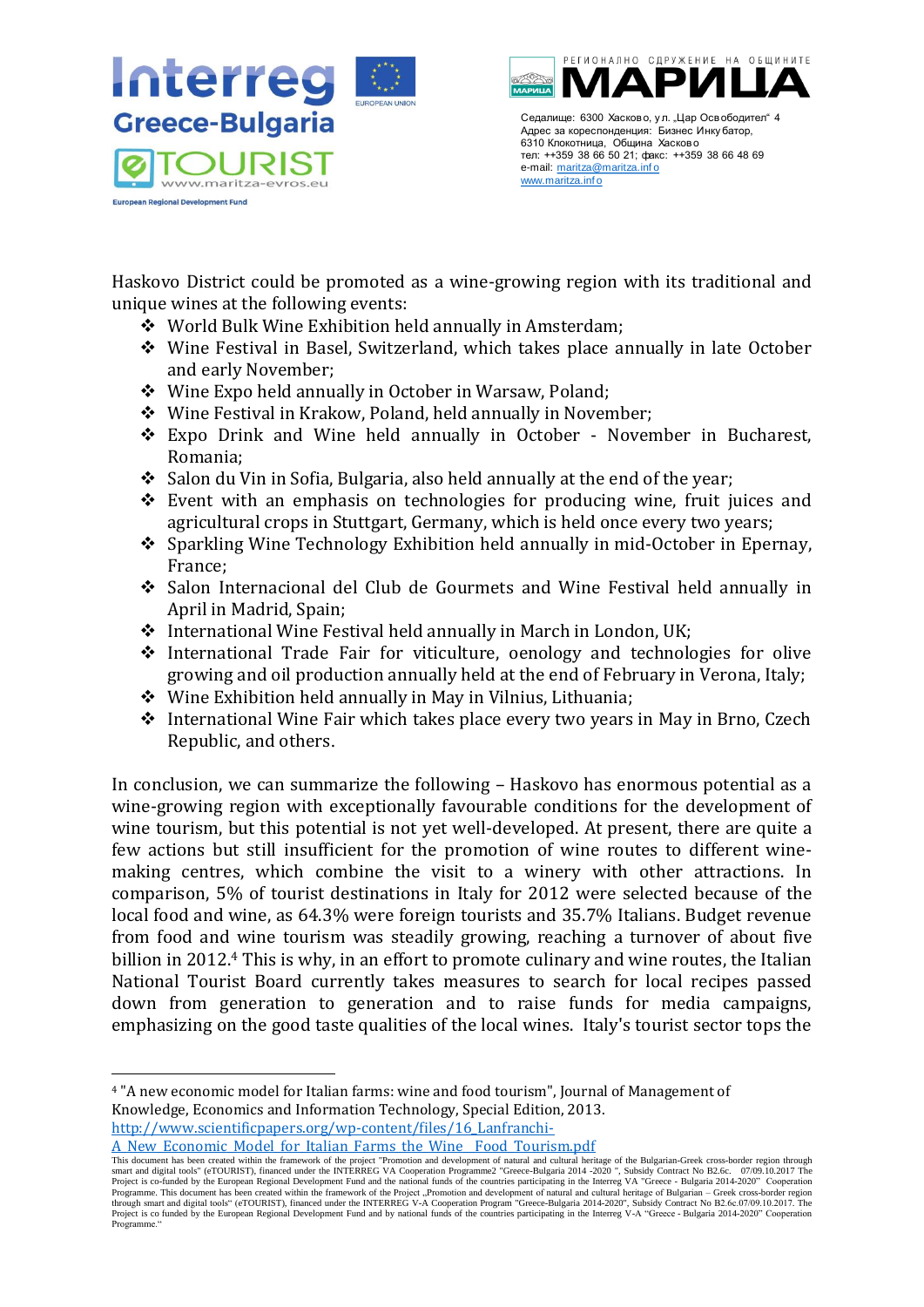



Haskovo District could be promoted as a wine-growing region with its traditional and unique wines at the following events:

- ❖ World Bulk Wine Exhibition held annually in Amsterdam;
- ❖ Wine Festival in Basel, Switzerland, which takes place annually in late October and early November;
- ❖ Wine Expo held annually in October in Warsaw, Poland;
- ❖ Wine Festival in Krakow, Poland, held annually in November;
- ❖ Expo Drink and Wine held annually in October November in Bucharest, Romania;
- ❖ Salon du Vin in Sofia, Bulgaria, also held annually at the end of the year;
- ❖ Event with an emphasis on technologies for producing wine, fruit juices and agricultural crops in Stuttgart, Germany, which is held once every two years;
- ❖ Sparkling Wine Technology Exhibition held annually in mid-October in Epernay, France;
- ❖ Salon Internacional del Club de Gourmets and Wine Festival held annually in April in Madrid, Spain;
- ❖ International Wine Festival held annually in March in London, UK;
- ❖ International Trade Fair for viticulture, oenology and technologies for olive growing and oil production annually held at the end of February in Verona, Italy;
- ❖ Wine Exhibition held annually in May in Vilnius, Lithuania;
- ❖ International Wine Fair which takes place every two years in May in Brno, Czech Republic, and others.

In conclusion, we can summarize the following – Haskovo has enormous potential as a wine-growing region with exceptionally favourable conditions for the development of wine tourism, but this potential is not yet well-developed. At present, there are quite a few actions but still insufficient for the promotion of wine routes to different winemaking centres, which combine the visit to a winery with other attractions. In comparison, 5% of tourist destinations in Italy for 2012 were selected because of the local food and wine, as 64.3% were foreign tourists and 35.7% Italians. Budget revenue from food and wine tourism was steadily growing, reaching a turnover of about five billion in 2012.<sup>4</sup> This is why, in an effort to promote culinary and wine routes, the Italian National Tourist Board currently takes measures to search for local recipes passed down from generation to generation and to raise funds for media campaigns, emphasizing on the good taste qualities of the local wines. Italy's tourist sector tops the

<sup>4</sup> "A new economic model for Italian farms: wine and food tourism", Journal of Management of Knowledge, Economics and Information Technology, Special Edition, 2013.

[http://www.scientificpapers.org/wp-content/files/16\\_Lanfranchi-](http://www.scientificpapers.org/wp-content/files/16_Lanfranchi-A_New_Economic_Model_for_Italian_Farms_the_Wine__Food_Tourism.pdf)

[A\\_New\\_Economic\\_Model\\_for\\_Italian\\_Farms\\_the\\_Wine\\_\\_Food\\_Tourism.pdf](http://www.scientificpapers.org/wp-content/files/16_Lanfranchi-A_New_Economic_Model_for_Italian_Farms_the_Wine__Food_Tourism.pdf)

This document has been created within the framework of the project "Promotion and development of natural and cultural heritage of the Bulgarian-Greek cross-border region through<br>smart and digital tools" (eTOURIST), finance Programme. This document has been created within the framework of the Project "Promotion and development of natural and cultural heritage of Bulgarian – Greek cross-border region<br>through smart and digital tools" (eTOURIST) Project is co funded by the European Regional Development Fund and by national funds of the countries participating in the Interreg V-A "Greece - Bulgaria 2014-2020" Cooperation Programme